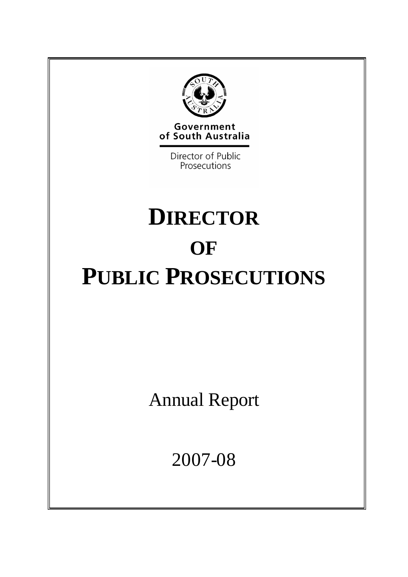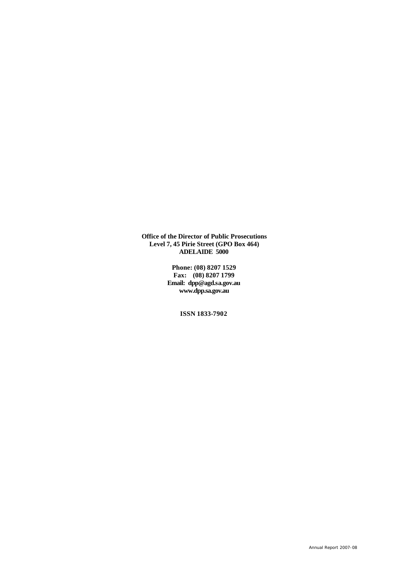**Office of the Director of Public Prosecutions Level 7, 45 Pirie Street (GPO Box 464) ADELAIDE 5000**

> **Phone: (08) 8207 1529 Fax: (08) 8207 1799 Email: dpp@agd.sa.gov.au www.dpp.sa.gov.au**

> > **ISSN 1833-7902**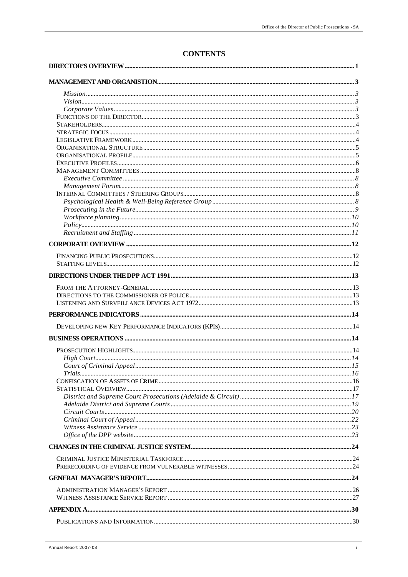# **CONTENTS**

| Policy 10 |  |
|-----------|--|
|           |  |
|           |  |
|           |  |
|           |  |
|           |  |
|           |  |
|           |  |
|           |  |
|           |  |
|           |  |
|           |  |
|           |  |
|           |  |
|           |  |
|           |  |
|           |  |
|           |  |
|           |  |
|           |  |
|           |  |
|           |  |
|           |  |
|           |  |
|           |  |
|           |  |
|           |  |
|           |  |
|           |  |
|           |  |
|           |  |
|           |  |
|           |  |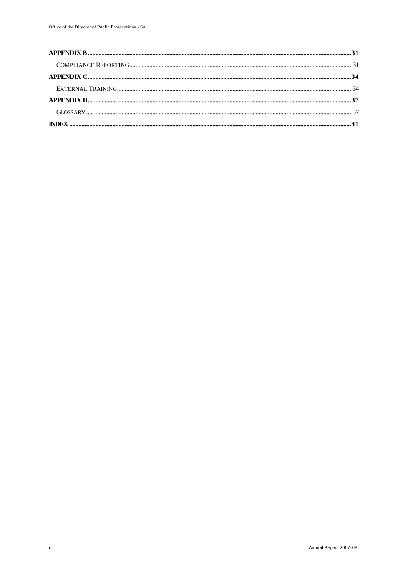| ${\bf COMPLIANCE\textbf{REPORTING}}.\textcolor{blue}{31}$ |  |
|-----------------------------------------------------------|--|
|                                                           |  |
|                                                           |  |
|                                                           |  |
|                                                           |  |
|                                                           |  |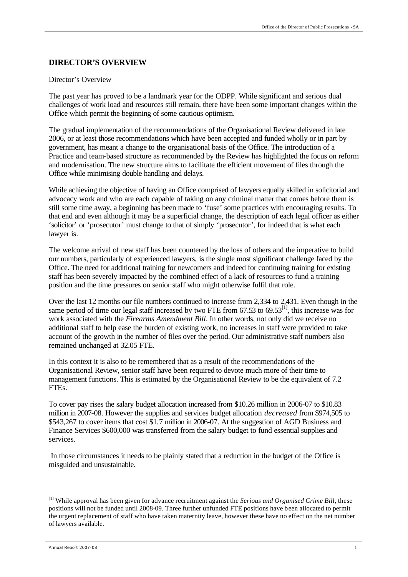#### **DIRECTOR'S OVERVIEW**

#### Director's Overview

The past year has proved to be a landmark year for the ODPP. While significant and serious dual challenges of work load and resources still remain, there have been some important changes within the Office which permit the beginning of some cautious optimism.

The gradual implementation of the recommendations of the Organisational Review delivered in late 2006, or at least those recommendations which have been accepted and funded wholly or in part by government, has meant a change to the organisational basis of the Office. The introduction of a Practice and team-based structure as recommended by the Review has highlighted the focus on reform and modernisation. The new structure aims to facilitate the efficient movement of files through the Office while minimising double handling and delays.

While achieving the objective of having an Office comprised of lawyers equally skilled in solicitorial and advocacy work and who are each capable of taking on any criminal matter that comes before them is still some time away, a beginning has been made to 'fuse' some practices with encouraging results. To that end and even although it may be a superficial change, the description of each legal officer as either 'solicitor' or 'prosecutor' must change to that of simply 'prosecutor', for indeed that is what each lawyer is.

The welcome arrival of new staff has been countered by the loss of others and the imperative to build our numbers, particularly of experienced lawyers, is the single most significant challenge faced by the Office. The need for additional training for newcomers and indeed for continuing training for existing staff has been severely impacted by the combined effect of a lack of resources to fund a training position and the time pressures on senior staff who might otherwise fulfil that role.

Over the last 12 months our file numbers continued to increase from 2,334 to 2,431. Even though in the same period of time our legal staff increased by two FTE from  $67.53$  to  $69.53$ <sup>[1]</sup>, this increase was for work associated with the *Firearms Amendment Bill*. In other words, not only did we receive no additional staff to help ease the burden of existing work, no increases in staff were provided to take account of the growth in the number of files over the period. Our administrative staff numbers also remained unchanged at 32.05 FTE.

In this context it is also to be remembered that as a result of the recommendations of the Organisational Review, senior staff have been required to devote much more of their time to management functions. This is estimated by the Organisational Review to be the equivalent of 7.2 FTEs.

To cover pay rises the salary budget allocation increased from \$10.26 million in 2006-07 to \$10.83 million in 2007-08. However the supplies and services budget allocation *decreased* from \$974,505 to \$543,267 to cover items that cost \$1.7 million in 2006-07. At the suggestion of AGD Business and Finance Services \$600,000 was transferred from the salary budget to fund essential supplies and services.

In those circumstances it needs to be plainly stated that a reduction in the budget of the Office is misguided and unsustainable.

l

<sup>[1]</sup> While approval has been given for advance recruitment against the *Serious and Organised Crime Bill*, these positions will not be funded until 2008-09. Three further unfunded FTE positions have been allocated to permit the urgent replacement of staff who have taken maternity leave, however these have no effect on the net number of lawyers available.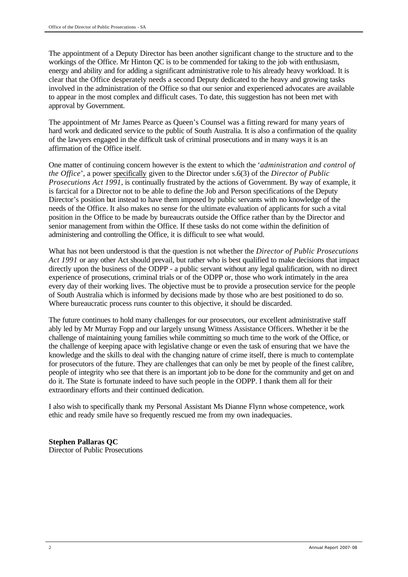The appointment of a Deputy Director has been another significant change to the structure and to the workings of the Office. Mr Hinton QC is to be commended for taking to the job with enthusiasm, energy and ability and for adding a significant administrative role to his already heavy workload. It is clear that the Office desperately needs a second Deputy dedicated to the heavy and growing tasks involved in the administration of the Office so that our senior and experienced advocates are available to appear in the most complex and difficult cases. To date, this suggestion has not been met with approval by Government.

The appointment of Mr James Pearce as Queen's Counsel was a fitting reward for many years of hard work and dedicated service to the public of South Australia. It is also a confirmation of the quality of the lawyers engaged in the difficult task of criminal prosecutions and in many ways it is an affirmation of the Office itself.

One matter of continuing concern however is the extent to which the '*administration and control of the Office*', a power specifically given to the Director under s.6(3) of the *Director of Public Prosecutions Act 1991*, is continually frustrated by the actions of Government. By way of example, it is farcical for a Director not to be able to define the Job and Person specifications of the Deputy Director's position but instead to have them imposed by public servants with no knowledge of the needs of the Office. It also makes no sense for the ultimate evaluation of applicants for such a vital position in the Office to be made by bureaucrats outside the Office rather than by the Director and senior management from within the Office. If these tasks do not come within the definition of administering and controlling the Office, it is difficult to see what would.

What has not been understood is that the question is not whether the *Director of Public Prosecutions Act 1991* or any other Act should prevail, but rather who is best qualified to make decisions that impact directly upon the business of the ODPP - a public servant without any legal qualification, with no direct experience of prosecutions, criminal trials or of the ODPP or, those who work intimately in the area every day of their working lives. The objective must be to provide a prosecution service for the people of South Australia which is informed by decisions made by those who are best positioned to do so. Where bureaucratic process runs counter to this objective, it should be discarded.

The future continues to hold many challenges for our prosecutors, our excellent administrative staff ably led by Mr Murray Fopp and our largely unsung Witness Assistance Officers. Whether it be the challenge of maintaining young families while committing so much time to the work of the Office, or the challenge of keeping apace with legislative change or even the task of ensuring that we have the knowledge and the skills to deal with the changing nature of crime itself, there is much to contemplate for prosecutors of the future. They are challenges that can only be met by people of the finest calibre, people of integrity who see that there is an important job to be done for the community and get on and do it. The State is fortunate indeed to have such people in the ODPP. I thank them all for their extraordinary efforts and their continued dedication.

I also wish to specifically thank my Personal Assistant Ms Dianne Flynn whose competence, work ethic and ready smile have so frequently rescued me from my own inadequacies.

### **Stephen Pallaras QC**

Director of Public Prosecutions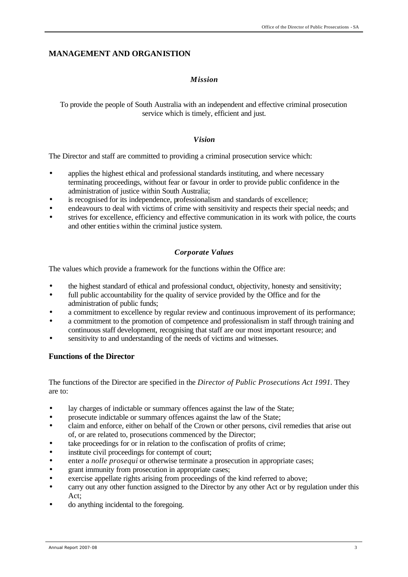### **MANAGEMENT AND ORGANISTION**

### *Mission*

To provide the people of South Australia with an independent and effective criminal prosecution service which is timely, efficient and just.

#### *Vision*

The Director and staff are committed to providing a criminal prosecution service which:

- applies the highest ethical and professional standards instituting, and where necessary terminating proceedings, without fear or favour in order to provide public confidence in the administration of justice within South Australia;
- is recognised for its independence, professionalism and standards of excellence;
- endeavours to deal with victims of crime with sensitivity and respects their special needs; and
- strives for excellence, efficiency and effective communication in its work with police, the courts and other entities within the criminal justice system.

### *Corporate Values*

The values which provide a framework for the functions within the Office are:

- the highest standard of ethical and professional conduct, objectivity, honesty and sensitivity;
- full public accountability for the quality of service provided by the Office and for the administration of public funds;
- a commitment to excellence by regular review and continuous improvement of its performance;
- a commitment to the promotion of competence and professionalism in staff through training and continuous staff development, recognising that staff are our most important resource; and
- sensitivity to and understanding of the needs of victims and witnesses.

### **Functions of the Director**

The functions of the Director are specified in the *Director of Public Prosecutions Act 1991.* They are to:

- lay charges of indictable or summary offences against the law of the State;
- prosecute indictable or summary offences against the law of the State;
- claim and enforce, either on behalf of the Crown or other persons, civil remedies that arise out of, or are related to, prosecutions commenced by the Director;
- take proceedings for or in relation to the confiscation of profits of crime;
- institute civil proceedings for contempt of court;
- enter a *nolle prosequi* or otherwise terminate a prosecution in appropriate cases;
- grant immunity from prosecution in appropriate cases;
- exercise appellate rights arising from proceedings of the kind referred to above;
- carry out any other function assigned to the Director by any other Act or by regulation under this Act;
- do anything incidental to the foregoing.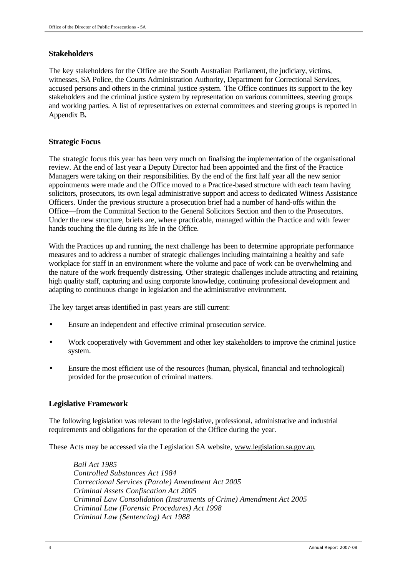### **Stakeholders**

The key stakeholders for the Office are the South Australian Parliament, the judiciary, victims, witnesses, SA Police, the Courts Administration Authority, Department for Correctional Services, accused persons and others in the criminal justice system. The Office continues its support to the key stakeholders and the criminal justice system by representation on various committees, steering groups and working parties. A list of representatives on external committees and steering groups is reported in Appendix B**.** 

### **Strategic Focus**

The strategic focus this year has been very much on finalising the implementation of the organisational review. At the end of last year a Deputy Director had been appointed and the first of the Practice Managers were taking on their responsibilities. By the end of the first half year all the new senior appointments were made and the Office moved to a Practice-based structure with each team having solicitors, prosecutors, its own legal administrative support and access to dedicated Witness Assistance Officers. Under the previous structure a prosecution brief had a number of hand-offs within the Office—from the Committal Section to the General Solicitors Section and then to the Prosecutors. Under the new structure, briefs are, where practicable, managed within the Practice and with fewer hands touching the file during its life in the Office.

With the Practices up and running, the next challenge has been to determine appropriate performance measures and to address a number of strategic challenges including maintaining a healthy and safe workplace for staff in an environment where the volume and pace of work can be overwhelming and the nature of the work frequently distressing. Other strategic challenges include attracting and retaining high quality staff, capturing and using corporate knowledge, continuing professional development and adapting to continuous change in legislation and the administrative environment.

The key target areas identified in past years are still current:

- Ensure an independent and effective criminal prosecution service.
- Work cooperatively with Government and other key stakeholders to improve the criminal justice system.
- Ensure the most efficient use of the resources (human, physical, financial and technological) provided for the prosecution of criminal matters.

# **Legislative Framework**

The following legislation was relevant to the legislative, professional, administrative and industrial requirements and obligations for the operation of the Office during the year.

These Acts may be accessed via the Legislation SA website, www.legislation.sa.gov.au.

*Bail Act 1985 Controlled Substances Act 1984 Correctional Services (Parole) Amendment Act 2005 Criminal Assets Confiscation Act 2005 Criminal Law Consolidation (Instruments of Crime) Amendment Act 2005 Criminal Law (Forensic Procedures) Act 1998 Criminal Law (Sentencing) Act 1988*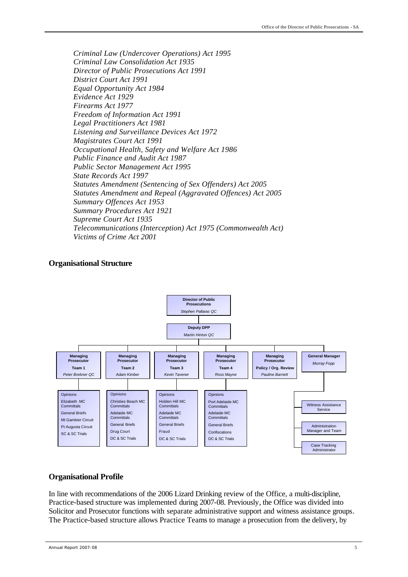*Criminal Law (Undercover Operations) Act 1995 Criminal Law Consolidation Act 1935 Director of Public Prosecutions Act 1991 District Court Act 1991 Equal Opportunity Act 1984 Evidence Act 1929 Firearms Act 1977 Freedom of Information Act 1991 Legal Practitioners Act 1981 Listening and Surveillance Devices Act 1972 Magistrates Court Act 1991 Occupational Health, Safety and Welfare Act 1986 Public Finance and Audit Act 1987 Public Sector Management Act 1995 State Records Act 1997 Statutes Amendment (Sentencing of Sex Offenders) Act 2005 Statutes Amendment and Repeal (Aggravated Offences) Act 2005 Summary Offences Act 1953 Summary Procedures Act 1921 Supreme Court Act 1935 Telecommunications (Interception) Act 1975 (Commonwealth Act) Victims of Crime Act 2001*

#### **Organisational Structure**



#### **Organisational Profile**

In line with recommendations of the 2006 Lizard Drinking review of the Office, a multi-discipline, Practice-based structure was implemented during 2007-08. Previously, the Office was divided into Solicitor and Prosecutor functions with separate administrative support and witness assistance groups. The Practice-based structure allows Practice Teams to manage a prosecution from the delivery, by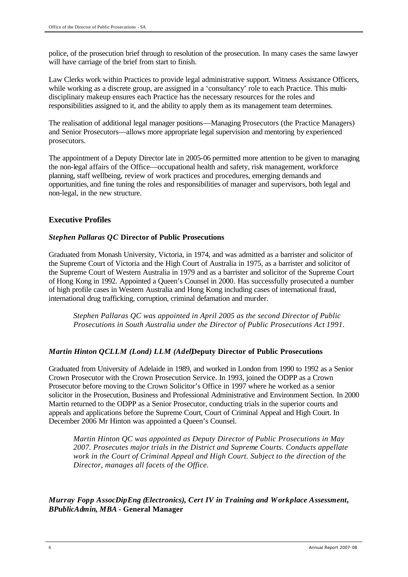police, of the prosecution brief through to resolution of the prosecution. In many cases the same lawyer will have carriage of the brief from start to finish.

Law Clerks work within Practices to provide legal administrative support. Witness Assistance Officers, while working as a discrete group, are assigned in a 'consultancy' role to each Practice. This multidisciplinary makeup ensures each Practice has the necessary resources for the roles and responsibilities assigned to it, and the ability to apply them as its management team determines.

The realisation of additional legal manager positions—Managing Prosecutors (the Practice Managers) and Senior Prosecutors—allows more appropriate legal supervision and mentoring by experienced prosecutors.

The appointment of a Deputy Director late in 2005-06 permitted more attention to be given to managing the non-legal affairs of the Office—occupational health and safety, risk management, workforce planning, staff wellbeing, review of work practices and procedures, emerging demands and opportunities, and fine tuning the roles and responsibilities of manager and supervisors, both legal and non-legal, in the new structure.

### **Executive Profiles**

### *Stephen Pallaras QC* **Director of Public Prosecutions**

Graduated from Monash University, Victoria, in 1974, and was admitted as a barrister and solicitor of the Supreme Court of Victoria and the High Court of Australia in 1975, as a barrister and solicitor of the Supreme Court of Western Australia in 1979 and as a barrister and solicitor of the Supreme Court of Hong Kong in 1992. Appointed a Queen's Counsel in 2000. Has successfully prosecuted a number of high profile cases in Western Australia and Hong Kong including cases of international fraud, international drug trafficking, corruption, criminal defamation and murder.

*Stephen Pallaras QC was appointed in April 2005 as the second Director of Public Prosecutions in South Australia under the Director of Public Prosecutions Act 1991.*

### *Martin Hinton QCLLM (Lond) LLM (Adel)***Deputy Director of Public Prosecutions**

Graduated from University of Adelaide in 1989, and worked in London from 1990 to 1992 as a Senior Crown Prosecutor with the Crown Prosecution Service. In 1993, joined the ODPP as a Crown Prosecutor before moving to the Crown Solicitor's Office in 1997 where he worked as a senior solicitor in the Prosecution, Business and Professional Administrative and Environment Section. In 2000 Martin returned to the ODPP as a Senior Prosecutor, conducting trials in the superior courts and appeals and applications before the Supreme Court, Court of Criminal Appeal and High Court. In December 2006 Mr Hinton was appointed a Queen's Counsel.

*Martin Hinton QC was appointed as Deputy Director of Public Prosecutions in May 2007. Prosecutes major trials in the District and Supreme Courts. Conducts appellate work in the Court of Criminal Appeal and High Court. Subject to the direction of the Director, manages all facets of the Office.*

*Murray Fopp AssocDipEng (Electronics), Cert IV in Training and Workplace Assessment, BPublicAdmin***,** *MBA* **- General Manager**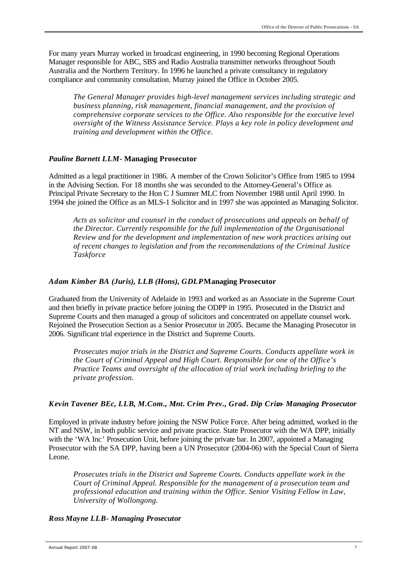For many years Murray worked in broadcast engineering, in 1990 becoming Regional Operations Manager responsible for ABC, SBS and Radio Australia transmitter networks throughout South Australia and the Northern Territory. In 1996 he launched a private consultancy in regulatory compliance and community consultation. Murray joined the Office in October 2005.

*The General Manager provides high-level management services including strategic and business planning, risk management, financial management, and the provision of comprehensive corporate services to the Office. Also responsible for the executive level oversight of the Witness Assistance Service. Plays a key role in policy development and training and development within the Office.*

#### *Pauline Barnett LLM -* **Managing Prosecutor**

Admitted as a legal practitioner in 1986. A member of the Crown Solicitor's Office from 1985 to 1994 in the Advising Section. For 18 months she was seconded to the Attorney-General's Office as Principal Private Secretary to the Hon C J Sumner MLC from November 1988 until April 1990. In 1994 she joined the Office as an MLS-1 Solicitor and in 1997 she was appointed as Managing Solicitor.

*Acts as solicitor and counsel in the conduct of prosecutions and appeals on behalf of the Director. Currently responsible for the full implementation of the Organisational Review and for the development and implementation of new work practices arising out of recent changes to legislation and from the recommendations of the Criminal Justice Taskforce*

#### *Adam Kimber BA (Juris), LLB (Hons), GDLP***- Managing Prosecutor**

Graduated from the University of Adelaide in 1993 and worked as an Associate in the Supreme Court and then briefly in private practice before joining the ODPP in 1995. Prosecuted in the District and Supreme Courts and then managed a group of solicitors and concentrated on appellate counsel work. Rejoined the Prosecution Section as a Senior Prosecutor in 2005. Became the Managing Prosecutor in 2006. Significant trial experience in the District and Supreme Courts.

*Prosecutes major trials in the District and Supreme Courts. Conducts appellate work in the Court of Criminal Appeal and High Court. Responsible for one of the Office's Practice Teams and oversight of the allocation of trial work including briefing to the private profession.*

#### *Kevin Tavener BEc, LLB, M.Com., M Int. Crim Prev., Grad. Dip Crim. - Managing Prosecutor*

Employed in private industry before joining the NSW Police Force. After being admitted, worked in the NT and NSW, in both public service and private practice. State Prosecutor with the WA DPP, initially with the 'WA Inc' Prosecution Unit, before joining the private bar. In 2007, appointed a Managing Prosecutor with the SA DPP, having been a UN Prosecutor (2004-06) with the Special Court of Sierra Leone.

*Prosecutes trials in the District and Supreme Courts. Conducts appellate work in the Court of Criminal Appeal. Responsible for the management of a prosecution team and professional education and training within the Office. Senior Visiting Fellow in Law, University of Wollongong.* 

#### *Ross Mayne LLB- Managing Prosecutor*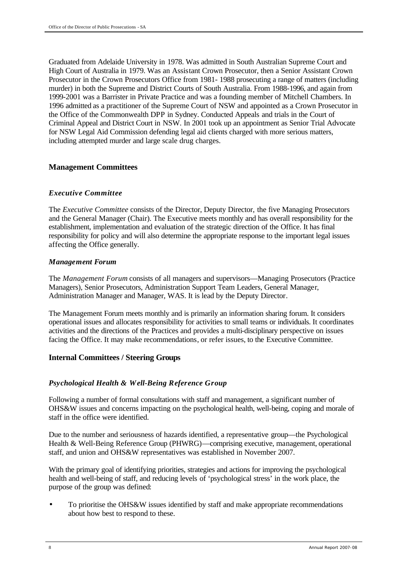Graduated from Adelaide University in 1978. Was admitted in South Australian Supreme Court and High Court of Australia in 1979. Was an Assistant Crown Prosecutor, then a Senior Assistant Crown Prosecutor in the Crown Prosecutors Office from 1981- 1988 prosecuting a range of matters (including murder) in both the Supreme and District Courts of South Australia. From 1988-1996, and again from 1999-2001 was a Barrister in Private Practice and was a founding member of Mitchell Chambers. In 1996 admitted as a practitioner of the Supreme Court of NSW and appointed as a Crown Prosecutor in the Office of the Commonwealth DPP in Sydney. Conducted Appeals and trials in the Court of Criminal Appeal and District Court in NSW. In 2001 took up an appointment as Senior Trial Advocate for NSW Legal Aid Commission defending legal aid clients charged with more serious matters, including attempted murder and large scale drug charges.

### **Management Committees**

### *Executive Committee*

The *Executive Committee* consists of the Director, Deputy Director, the five Managing Prosecutors and the General Manager (Chair). The Executive meets monthly and has overall responsibility for the establishment, implementation and evaluation of the strategic direction of the Office. It has final responsibility for policy and will also determine the appropriate response to the important legal issues affecting the Office generally.

### *Management Forum*

The *Management Forum* consists of all managers and supervisors—Managing Prosecutors (Practice Managers), Senior Prosecutors, Administration Support Team Leaders, General Manager, Administration Manager and Manager, WAS. It is lead by the Deputy Director.

The Management Forum meets monthly and is primarily an information sharing forum. It considers operational issues and allocates responsibility for activities to small teams or individuals. It coordinates activities and the directions of the Practices and provides a multi-disciplinary perspective on issues facing the Office. It may make recommendations, or refer issues, to the Executive Committee.

# **Internal Committees / Steering Groups**

# *Psychological Health & Well-Being Reference Group*

Following a number of formal consultations with staff and management, a significant number of OHS&W issues and concerns impacting on the psychological health, well-being, coping and morale of staff in the office were identified.

Due to the number and seriousness of hazards identified, a representative group—the Psychological Health & Well-Being Reference Group (PHWRG)—comprising executive, management, operational staff, and union and OHS&W representatives was established in November 2007.

With the primary goal of identifying priorities, strategies and actions for improving the psychological health and well-being of staff, and reducing levels of 'psychological stress' in the work place, the purpose of the group was defined:

• To prioritise the OHS&W issues identified by staff and make appropriate recommendations about how best to respond to these.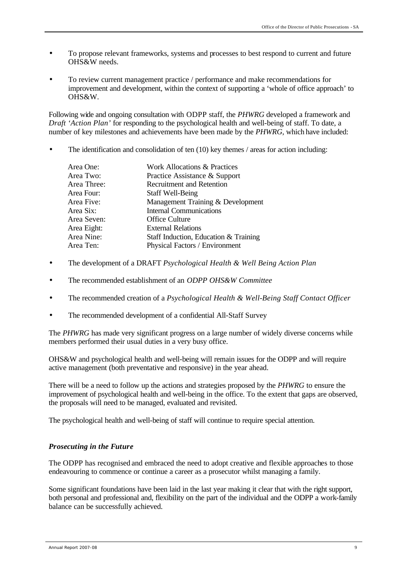- To propose relevant frameworks, systems and processes to best respond to current and future OHS&W needs.
- To review current management practice / performance and make recommendations for improvement and development, within the context of supporting a 'whole of office approach' to OHS&W.

Following wide and ongoing consultation with ODPP staff, the *PHWRG* developed a framework and *Draft 'Action Plan'* for responding to the psychological health and well-being of staff. To date, a number of key milestones and achievements have been made by the *PHWRG*, which have included:

The identification and consolidation of ten  $(10)$  key themes / areas for action including:

| Area One:   | Work Allocations & Practices          |
|-------------|---------------------------------------|
| Area Two:   | Practice Assistance & Support         |
| Area Three: | <b>Recruitment and Retention</b>      |
| Area Four:  | <b>Staff Well-Being</b>               |
| Area Five:  | Management Training & Development     |
| Area Six:   | <b>Internal Communications</b>        |
| Area Seven: | <b>Office Culture</b>                 |
| Area Eight: | <b>External Relations</b>             |
| Area Nine:  | Staff Induction, Education & Training |
| Area Ten:   | Physical Factors / Environment        |

- The development of a DRAFT *Psychological Health & Well Being Action Plan*
- The recommended establishment of an *ODPP OHS&W Committee*
- The recommended creation of a *Psychological Health & Well-Being Staff Contact Officer*
- The recommended development of a confidential All-Staff Survey

The PHWRG has made very significant progress on a large number of widely diverse concerns while members performed their usual duties in a very busy office.

OHS&W and psychological health and well-being will remain issues for the ODPP and will require active management (both preventative and responsive) in the year ahead.

There will be a need to follow up the actions and strategies proposed by the *PHWRG* to ensure the improvement of psychological health and well-being in the office. To the extent that gaps are observed, the proposals will need to be managed, evaluated and revisited.

The psychological health and well-being of staff will continue to require special attention.

# *Prosecuting in the Future*

The ODPP has recognised and embraced the need to adopt creative and flexible approaches to those endeavouring to commence or continue a career as a prosecutor whilst managing a family.

Some significant foundations have been laid in the last year making it clear that with the right support, both personal and professional and, flexibility on the part of the individual and the ODPP a work-family balance can be successfully achieved.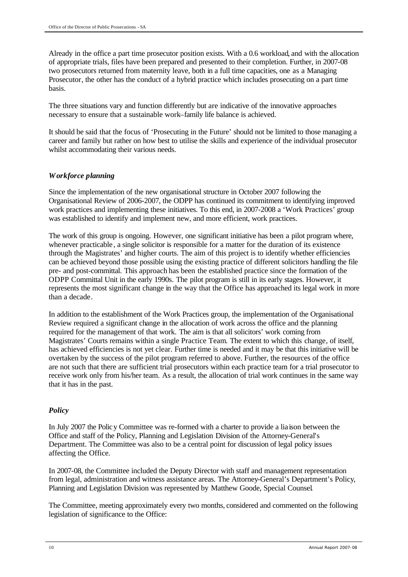Already in the office a part time prosecutor position exists. With a 0.6 workload, and with the allocation of appropriate trials, files have been prepared and presented to their completion. Further, in 2007-08 two prosecutors returned from maternity leave, both in a full time capacities, one as a Managing Prosecutor, the other has the conduct of a hybrid practice which includes prosecuting on a part time basis.

The three situations vary and function differently but are indicative of the innovative approaches necessary to ensure that a sustainable work–family life balance is achieved.

It should be said that the focus of 'Prosecuting in the Future' should not be limited to those managing a career and family but rather on how best to utilise the skills and experience of the individual prosecutor whilst accommodating their various needs.

### *Workforce planning*

Since the implementation of the new organisational structure in October 2007 following the Organisational Review of 2006-2007, the ODPP has continued its commitment to identifying improved work practices and implementing these initiatives. To this end, in 2007-2008 a 'Work Practices' group was established to identify and implement new, and more efficient, work practices.

The work of this group is ongoing. However, one significant initiative has been a pilot program where, whenever practicable, a single solicitor is responsible for a matter for the duration of its existence through the Magistrates' and higher courts. The aim of this project is to identify whether efficiencies can be achieved beyond those possible using the existing practice of different solicitors handling the file pre- and post-committal. This approach has been the established practice since the formation of the ODPP Committal Unit in the early 1990s. The pilot program is still in its early stages. However, it represents the most significant change in the way that the Office has approached its legal work in more than a decade.

In addition to the establishment of the Work Practices group, the implementation of the Organisational Review required a significant change in the allocation of work across the office and the planning required for the management of that work. The aim is that all solicitors' work coming from Magistrates' Courts remains within a single Practice Team. The extent to which this change, of itself, has achieved efficiencies is not yet clear. Further time is needed and it may be that this initiative will be overtaken by the success of the pilot program referred to above. Further, the resources of the office are not such that there are sufficient trial prosecutors within each practice team for a trial prosecutor to receive work only from his/her team. As a result, the allocation of trial work continues in the same way that it has in the past.

### *Policy*

In July 2007 the Policy Committee was re-formed with a charter to provide a lia ison between the Office and staff of the Policy, Planning and Legislation Division of the Attorney-General's Department. The Committee was also to be a central point for discussion of legal policy issues affecting the Office.

In 2007-08, the Committee included the Deputy Director with staff and management representation from legal, administration and witness assistance areas. The Attorney-General's Department's Policy, Planning and Legislation Division was represented by Matthew Goode, Special Counsel.

The Committee, meeting approximately every two months, considered and commented on the following legislation of significance to the Office: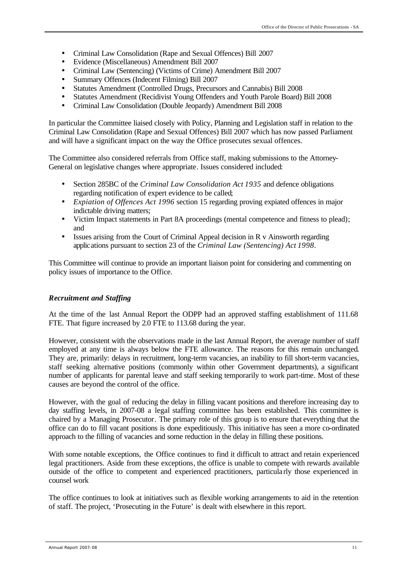- Criminal Law Consolidation (Rape and Sexual Offences) Bill 2007
- Evidence (Miscellaneous) Amendment Bill 2007
- Criminal Law (Sentencing) (Victims of Crime) Amendment Bill 2007
- Summary Offences (Indecent Filming) Bill 2007
- Statutes Amendment (Controlled Drugs, Precursors and Cannabis) Bill 2008
- Statutes Amendment (Recidivist Young Offenders and Youth Parole Board) Bill 2008
- Criminal Law Consolidation (Double Jeopardy) Amendment Bill 2008

In particular the Committee liaised closely with Policy, Planning and Legislation staff in relation to the Criminal Law Consolidation (Rape and Sexual Offences) Bill 2007 which has now passed Parliament and will have a significant impact on the way the Office prosecutes sexual offences.

The Committee also considered referrals from Office staff, making submissions to the Attorney-General on legislative changes where appropriate. Issues considered included:

- Section 285BC of the *Criminal Law Consolidation Act 1935* and defence obligations regarding notification of expert evidence to be called;
- *Expiation of Offences Act 1996* section 15 regarding proving expiated offences in major indictable driving matters;
- Victim Impact statements in Part 8A proceedings (mental competence and fitness to plead); and
- Issues arising from the Court of Criminal Appeal decision in R v Ainsworth regarding applications pursuant to section 23 of the *Criminal Law (Sentencing) Act 1998*.

This Committee will continue to provide an important liaison point for considering and commenting on policy issues of importance to the Office.

#### *Recruitment and Staffing*

At the time of the last Annual Report the ODPP had an approved staffing establishment of 111.68 FTE. That figure increased by 2.0 FTE to 113.68 during the year.

However, consistent with the observations made in the last Annual Report, the average number of staff employed at any time is always below the FTE allowance. The reasons for this remain unchanged. They are, primarily: delays in recruitment, long-term vacancies, an inability to fill short-term vacancies, staff seeking alternative positions (commonly within other Government departments), a significant number of applicants for parental leave and staff seeking temporarily to work part-time. Most of these causes are beyond the control of the office.

However, with the goal of reducing the delay in filling vacant positions and therefore increasing day to day staffing levels, in 2007-08 a legal staffing committee has been established. This committee is chaired by a Managing Prosecutor. The primary role of this group is to ensure that everything that the office can do to fill vacant positions is done expeditiously. This initiative has seen a more co-ordinated approach to the filling of vacancies and some reduction in the delay in filling these positions.

With some notable exceptions, the Office continues to find it difficult to attract and retain experienced legal practitioners. Aside from these exceptions, the office is unable to compete with rewards available outside of the office to competent and experienced practitioners, particula rly those experienced in counsel work

The office continues to look at initiatives such as flexible working arrangements to aid in the retention of staff. The project, 'Prosecuting in the Future' is dealt with elsewhere in this report.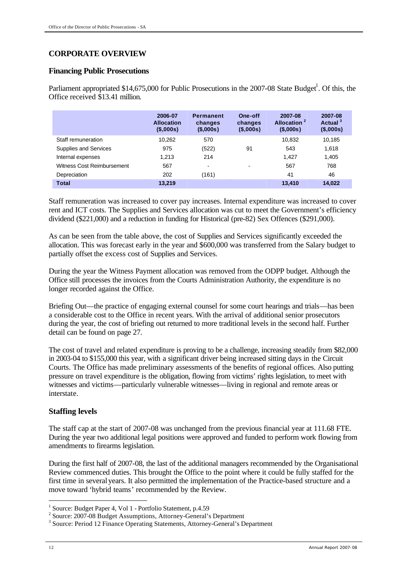# **CORPORATE OVERVIEW**

### **Financing Public Prosecutions**

Parliament appropriated \$14,675,000 for Public Prosecutions in the 2007-08 State Budget<sup>1</sup>. Of this, the Office received \$13.41 million.

|                            | 2006-07<br><b>Allocation</b><br>(\$,000s) | <b>Permanent</b><br>changes<br>(\$,000s) | One-off<br>changes<br>$($ \$,000s $)$ | 2007-08<br>Allocation <sup>2</sup><br>$($ \$,000s $)$ | 2007-08<br>Actual <sup>3</sup><br>$($ \$,000s $)$ |
|----------------------------|-------------------------------------------|------------------------------------------|---------------------------------------|-------------------------------------------------------|---------------------------------------------------|
| Staff remuneration         | 10.262                                    | 570                                      |                                       | 10.832                                                | 10,185                                            |
| Supplies and Services      | 975                                       | (522)                                    | 91                                    | 543                                                   | 1,618                                             |
| Internal expenses          | 1.213                                     | 214                                      |                                       | 1.427                                                 | 1,405                                             |
| Witness Cost Reimbursement | 567                                       | -                                        | -                                     | 567                                                   | 768                                               |
| Depreciation               | 202                                       | (161)                                    |                                       | 41                                                    | 46                                                |
| <b>Total</b>               | 13,219                                    |                                          |                                       | 13,410                                                | 14.022                                            |

Staff remuneration was increased to cover pay increases. Internal expenditure was increased to cover rent and ICT costs. The Supplies and Services allocation was cut to meet the Government's efficiency dividend (\$221,000) and a reduction in funding for Historical (pre-82) Sex Offences (\$291,000).

As can be seen from the table above, the cost of Supplies and Services significantly exceeded the allocation. This was forecast early in the year and \$600,000 was transferred from the Salary budget to partially offset the excess cost of Supplies and Services.

During the year the Witness Payment allocation was removed from the ODPP budget. Although the Office still processes the invoices from the Courts Administration Authority, the expenditure is no longer recorded against the Office.

Briefing Out—the practice of engaging external counsel for some court hearings and trials—has been a considerable cost to the Office in recent years. With the arrival of additional senior prosecutors during the year, the cost of briefing out returned to more traditional levels in the second half. Further detail can be found on page 27.

The cost of travel and related expenditure is proving to be a challenge, increasing steadily from \$82,000 in 2003-04 to \$155,000 this year, with a significant driver being increased sitting days in the Circuit Courts. The Office has made preliminary assessments of the benefits of regional offices. Also putting pressure on travel expenditure is the obligation, flowing from victims' rights legislation, to meet with witnesses and victims—particularly vulnerable witnesses—living in regional and remote areas or interstate.

### **Staffing levels**

The staff cap at the start of 2007-08 was unchanged from the previous financial year at 111.68 FTE. During the year two additional legal positions were approved and funded to perform work flowing from amendments to firearms legislation.

During the first half of 2007-08, the last of the additional managers recommended by the Organisational Review commenced duties. This brought the Office to the point where it could be fully staffed for the first time in several years. It also permitted the implementation of the Practice-based structure and a move toward 'hybrid teams' recommended by the Review.

l

<sup>&</sup>lt;sup>1</sup> Source: Budget Paper 4, Vol 1 - Portfolio Statement, p.4.59

<sup>&</sup>lt;sup>2</sup> Source: 2007-08 Budget Assumptions, Attorney-General's Department

<sup>&</sup>lt;sup>3</sup> Source: Period 12 Finance Operating Statements, Attorney-General's Department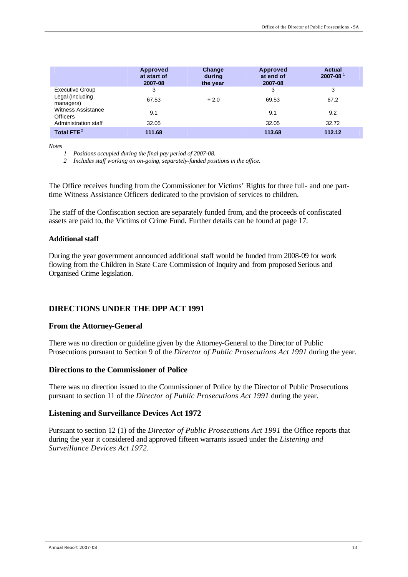|                                              | Approved<br>at start of<br>2007-08 | Change<br>during<br>the year | <b>Approved</b><br>at end of<br>2007-08 | <b>Actual</b><br>$2007 - 08$ <sup>1</sup> |
|----------------------------------------------|------------------------------------|------------------------------|-----------------------------------------|-------------------------------------------|
| <b>Executive Group</b>                       | 3                                  |                              | 3                                       | 3                                         |
| Legal (Including<br>managers)                | 67.53                              | $+2.0$                       | 69.53                                   | 67.2                                      |
| <b>Witness Assistance</b><br><b>Officers</b> | 9.1                                |                              | 9.1                                     | 9.2                                       |
| Administration staff                         | 32.05                              |                              | 32.05                                   | 32.72                                     |
| Total FTE $2$                                | 111.68                             |                              | 113.68                                  | 112.12                                    |

*Notes*

*1 Positions occupied during the final pay period of 2007-08.*

*2 Includes staff working on on-going, separately-funded positions in the office.*

The Office receives funding from the Commissioner for Victims' Rights for three full- and one parttime Witness Assistance Officers dedicated to the provision of services to children.

The staff of the Confiscation section are separately funded from, and the proceeds of confiscated assets are paid to, the Victims of Crime Fund. Further details can be found at page 17.

#### **Additional staff**

During the year government announced additional staff would be funded from 2008-09 for work flowing from the Children in State Care Commission of Inquiry and from proposed Serious and Organised Crime legislation.

### **DIRECTIONS UNDER THE DPP ACT 1991**

#### **From the Attorney-General**

There was no direction or guideline given by the Attorney-General to the Director of Public Prosecutions pursuant to Section 9 of the *Director of Public Prosecutions Act 1991* during the year.

#### **Directions to the Commissioner of Police**

There was no direction issued to the Commissioner of Police by the Director of Public Prosecutions pursuant to section 11 of the *Director of Public Prosecutions Act 1991* during the year.

#### **Listening and Surveillance Devices Act 1972**

Pursuant to section 12 (1) of the *Director of Public Prosecutions Act 1991* the Office reports that during the year it considered and approved fifteen warrants issued under the *Listening and Surveillance Devices Act 1972*.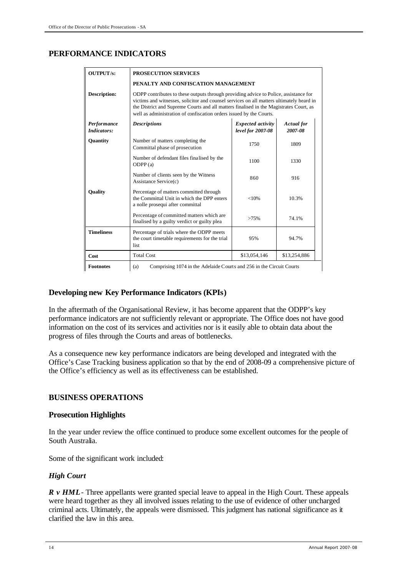# **PERFORMANCE INDICATORS**

| <b>OUTPUT/s:</b>           | <b>PROSECUTION SERVICES</b>                                                                                                                                                                                                                                                                                                                       |                                     |              |  |  |  |  |  |  |  |
|----------------------------|---------------------------------------------------------------------------------------------------------------------------------------------------------------------------------------------------------------------------------------------------------------------------------------------------------------------------------------------------|-------------------------------------|--------------|--|--|--|--|--|--|--|
|                            |                                                                                                                                                                                                                                                                                                                                                   | PENALTY AND CONFISCATION MANAGEMENT |              |  |  |  |  |  |  |  |
| Description:               | ODPP contributes to these outputs through providing advice to Police, assistance for<br>victims and witnesses, solicitor and counsel services on all matters ultimately heard in<br>the District and Supreme Courts and all matters finalised in the Magistrates Court, as<br>well as administration of confiscation orders issued by the Courts. |                                     |              |  |  |  |  |  |  |  |
| Performance<br>Indicators: | Expected activity<br><b>Descriptions</b><br><b>Actual</b> for<br>level for 2007-08<br>2007-08                                                                                                                                                                                                                                                     |                                     |              |  |  |  |  |  |  |  |
| Quantity                   | Number of matters completing the<br>Committal phase of prosecution                                                                                                                                                                                                                                                                                | 1750                                | 1809         |  |  |  |  |  |  |  |
|                            | Number of defendant files finalised by the<br>ODPP(a)                                                                                                                                                                                                                                                                                             | 1100                                | 1330         |  |  |  |  |  |  |  |
|                            | Number of clients seen by the Witness<br>Assistance Service(c)                                                                                                                                                                                                                                                                                    | 860                                 | 916          |  |  |  |  |  |  |  |
| Quality                    | Percentage of matters committed through<br>the Committal Unit in which the DPP enters<br>a nolle prosequi after committal                                                                                                                                                                                                                         | $<$ 10%                             | 10.3%        |  |  |  |  |  |  |  |
|                            | Percentage of committed matters which are<br>finalised by a guilty verdict or guilty plea                                                                                                                                                                                                                                                         | >75%                                | 74.1%        |  |  |  |  |  |  |  |
| <b>Timeliness</b>          | Percentage of trials where the ODPP meets<br>the court timetable requirements for the trial<br>list                                                                                                                                                                                                                                               | 95%                                 | 94.7%        |  |  |  |  |  |  |  |
| Cost                       | <b>Total Cost</b>                                                                                                                                                                                                                                                                                                                                 | \$13,054,146                        | \$13,254,886 |  |  |  |  |  |  |  |
| <b>Footnotes</b>           | Comprising 1074 in the Adelaide Courts and 256 in the Circuit Courts<br>(a)                                                                                                                                                                                                                                                                       |                                     |              |  |  |  |  |  |  |  |

#### **Developing new Key Performance Indicators (KPIs)**

In the aftermath of the Organisational Review, it has become apparent that the ODPP's key performance indicators are not sufficiently relevant or appropriate. The Office does not have good information on the cost of its services and activities nor is it easily able to obtain data about the progress of files through the Courts and areas of bottlenecks.

As a consequence new key performance indicators are being developed and integrated with the Office's Case Tracking business application so that by the end of 2008-09 a comprehensive picture of the Office's efficiency as well as its effectiveness can be established.

### **BUSINESS OPERATIONS**

#### **Prosecution Highlights**

In the year under review the office continued to produce some excellent outcomes for the people of South Australia

Some of the significant work included:

#### *High Court*

*R v HML*- Three appellants were granted special leave to appeal in the High Court. These appeals were heard together as they all involved issues relating to the use of evidence of other uncharged criminal acts. Ultimately, the appeals were dismissed. This judgment has national significance as it clarified the law in this area.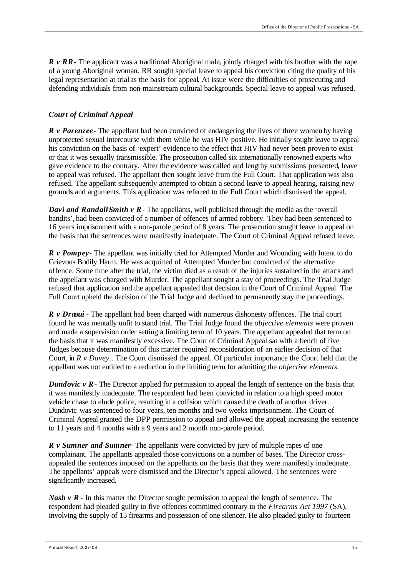*R v RR* - The applicant was a traditional Aboriginal male, jointly charged with his brother with the rape of a young Aboriginal woman. RR sought special leave to appeal his conviction citing the quality of his legal representation at trial as the basis for appeal. At issue were the difficulties of prosecuting and defending individuals from non-mainstream cultural backgrounds. Special leave to appeal was refused.

#### *Court of Criminal Appeal*

*R v Parenzee*- The appellant had been convicted of endangering the lives of three women by having unprotected sexual intercourse with them while he was HIV positive. He initially sought leave to appeal his conviction on the basis of 'expert' evidence to the effect that HIV had never been proven to exist or that it was sexually transmissible. The prosecution called six internationally renowned experts who gave evidence to the contrary. After the evidence was called and lengthy submissions presented, leave to appeal was refused. The appellant then sought leave from the Full Court. That application was also refused. The appellant subsequently attempted to obtain a second leave to appeal hearing, raising new grounds and arguments. This application was referred to the Full Court which dismissed the appeal.

*Davi and Randall-Smith v R* - The appellants, well publicised through the media as the 'overall' bandits', had been convicted of a number of offences of armed robbery. They had been sentenced to 16 years imprisonment with a non-parole period of 8 years. The prosecution sought leave to appeal on the basis that the sentences were manifestly inadequate. The Court of Criminal Appeal refused leave.

*R v Pompey* - The appellant was initially tried for Attempted Murder and Wounding with Intent to do Grievous Bodily Harm. He was acquitted of Attempted Murder but convicted of the alternative offence. Some time after the trial, the victim died as a result of the injuries sustained in the attack and the appellant was charged with Murder. The appellant sought a stay of proceedings. The Trial Judge refused that application and the appellant appealed that decision in the Court of Criminal Appeal. The Full Court upheld the decision of the Trial Judge and declined to permanently stay the proceedings.

*R v Draoui* - The appellant had been charged with numerous dishonesty offences. The trial court found he was mentally unfit to stand trial. The Trial Judge found the *objective elements* were proven and made a supervision order setting a limiting term of 10 years. The appellant appealed that term on the basis that it was manifestly excessive. The Court of Criminal Appeal sat with a bench of five Judges because determination of this matter required reconsideration of an earlier decision of that Court, in *R v Davey.*. The Court dismissed the appeal. Of particular importance the Court held that the appellant was not entitled to a reduction in the limiting term for admitting the *objective elements*.

*Dundovic v R* - The Director applied for permission to appeal the length of sentence on the basis that it was manifestly inadequate. The respondent had been convicted in relation to a high speed motor vehicle chase to elude police, resulting in a collision which caused the death of another driver. Dundovic was sentenced to four years, ten months and two weeks imprisonment. The Court of Criminal Appeal granted the DPP permission to appeal and allowed the appeal, increasing the sentence to 11 years and 4 months with a 9 years and 2 month non-parole period.

*R v Sumner and Sumner*- The appellants were convicted by jury of multiple rapes of one complainant. The appellants appealed those convictions on a number of bases. The Director crossappealed the sentences imposed on the appellants on the basis that they were manifestly inadequate. The appellants' appeals were dismissed and the Director's appeal allowed. The sentences were significantly increased.

*Nash v R* - In this matter the Director sought permission to appeal the length of sentence. The respondent had pleaded guilty to five offences committed contrary to the *Firearms Act 1997* (SA), involving the supply of 15 firearms and possession of one silencer. He also pleaded guilty to fourteen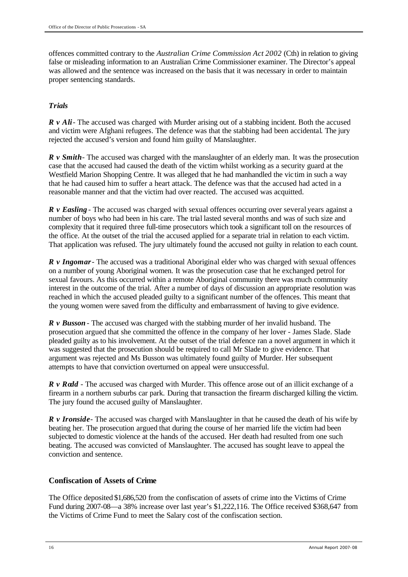offences committed contrary to the *Australian Crime Commission Act 2002* (Cth) in relation to giving false or misleading information to an Australian Crime Commissioner examiner. The Director's appeal was allowed and the sentence was increased on the basis that it was necessary in order to maintain proper sentencing standards.

### *Trials*

*R v Ali* - The accused was charged with Murder arising out of a stabbing incident. Both the accused and victim were Afghani refugees. The defence was that the stabbing had been accidental. The jury rejected the accused's version and found him guilty of Manslaughter.

*R v Smith*- The accused was charged with the manslaughter of an elderly man. It was the prosecution case that the accused had caused the death of the victim whilst working as a security guard at the Westfield Marion Shopping Centre. It was alleged that he had manhandled the vic tim in such a way that he had caused him to suffer a heart attack. The defence was that the accused had acted in a reasonable manner and that the victim had over reacted. The accused was acquitted.

*R v Easling* - The accused was charged with sexual offences occurring over several years against a number of boys who had been in his care. The trial lasted several months and was of such size and complexity that it required three full-time prosecutors which took a significant toll on the resources of the office. At the outset of the trial the accused applied for a separate trial in relation to each victim. That application was refused. The jury ultimately found the accused not guilty in relation to each count.

*R v Ingomar*- The accused was a traditional Aboriginal elder who was charged with sexual offences on a number of young Aboriginal women. It was the prosecution case that he exchanged petrol for sexual favours. As this occurred within a remote Aboriginal community there was much community interest in the outcome of the trial. After a number of days of discussion an appropriate resolution was reached in which the accused pleaded guilty to a significant number of the offences. This meant that the young women were saved from the difficulty and embarrassment of having to give evidence.

*R v Busson* - The accused was charged with the stabbing murder of her invalid husband. The prosecution argued that she committed the offence in the company of her lover - James Slade. Slade pleaded guilty as to his involvement. At the outset of the trial defence ran a novel argument in which it was suggested that the prosecution should be required to call Mr Slade to give evidence. That argument was rejected and Ms Busson was ultimately found guilty of Murder. Her subsequent attempts to have that conviction overturned on appeal were unsuccessful.

*R v Rodd* - The accused was charged with Murder. This offence arose out of an illicit exchange of a firearm in a northern suburbs car park. During that transaction the firearm discharged killing the victim. The jury found the accused guilty of Manslaughter.

*R v Ironside* - The accused was charged with Manslaughter in that he caused the death of his wife by beating her. The prosecution argued that during the course of her married life the victim had been subjected to domestic violence at the hands of the accused. Her death had resulted from one such beating. The accused was convicted of Manslaughter. The accused has sought leave to appeal the conviction and sentence.

# **Confiscation of Assets of Crime**

The Office deposited \$1,686,520 from the confiscation of assets of crime into the Victims of Crime Fund during 2007-08—a 38% increase over last year's \$1,222,116. The Office received \$368,647 from the Victims of Crime Fund to meet the Salary cost of the confiscation section.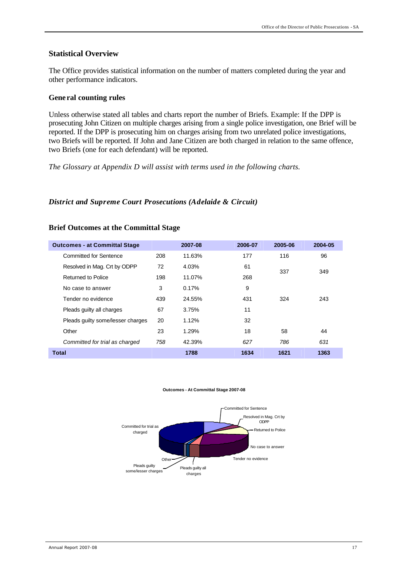#### **Statistical Overview**

The Office provides statistical information on the number of matters completed during the year and other performance indicators.

#### **Gene ral counting rules**

Unless otherwise stated all tables and charts report the number of Briefs. Example: If the DPP is prosecuting John Citizen on multiple charges arising from a single police investigation, one Brief will be reported. If the DPP is prosecuting him on charges arising from two unrelated police investigations, two Briefs will be reported. If John and Jane Citizen are both charged in relation to the same offence, two Briefs (one for each defendant) will be reported.

*The Glossary at Appendix D will assist with terms used in the following charts.*

#### *District and Supreme Court Prosecutions (Adelaide & Circuit)*

| <b>Outcomes - at Committal Stage</b> |     | 2007-08 | 2006-07 | 2005-06 | 2004-05 |
|--------------------------------------|-----|---------|---------|---------|---------|
| <b>Committed for Sentence</b>        | 208 | 11.63%  | 177     | 116     | 96      |
| Resolved in Mag. Crt by ODPP         | 72  | 4.03%   | 61      | 337     | 349     |
| <b>Returned to Police</b>            | 198 | 11.07%  | 268     |         |         |
| No case to answer                    | 3   | 0.17%   | 9       |         |         |
| Tender no evidence                   | 439 | 24.55%  | 431     | 324     | 243     |
| Pleads guilty all charges            | 67  | 3.75%   | 11      |         |         |
| Pleads quilty some/lesser charges    | 20  | 1.12%   | 32      |         |         |
| Other                                | 23  | 1.29%   | 18      | 58      | 44      |
| Committed for trial as charged       | 758 | 42.39%  | 627     | 786     | 631     |
| <b>Total</b>                         |     | 1788    | 1634    | 1621    | 1363    |

#### **Brief Outcomes at the Committal Stage**

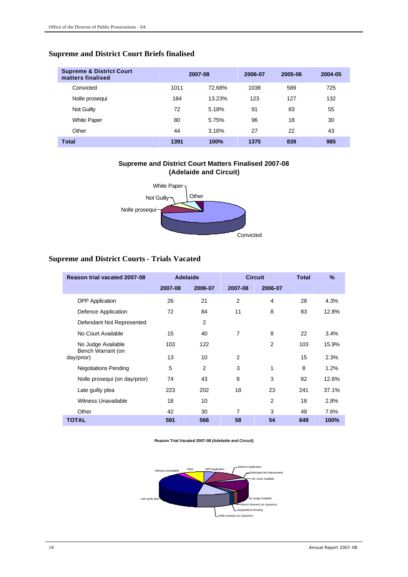# **Supreme and District Court Briefs finalised**

| <b>Supreme &amp; District Court</b><br>matters finalised | 2007-08 |        | 2006-07 | 2005-06 | 2004-05 |
|----------------------------------------------------------|---------|--------|---------|---------|---------|
| Convicted                                                | 1011    | 72.68% | 1038    | 589     | 725     |
| Nolle prosequi                                           | 184     | 13.23% | 123     | 127     | 132     |
| Not Guilty                                               | 72      | 5.18%  | 91      | 83      | 55      |
| <b>White Paper</b>                                       | 80      | 5.75%  | 96      | 18      | 30      |
| Other                                                    | 44      | 3.16%  | 27      | 22      | 43      |
| <b>Total</b>                                             | 1391    | 100%   | 1375    | 839     | 985     |

# **Supreme and District Court Matters Finalised 2007-08 (Adelaide and Circuit)** White Paper



# **Supreme and District Courts - Trials Vacated**

| Reason trial vacated 2007-08            | <b>Adelaide</b> |                |         | <b>Circuit</b> | <b>Total</b> | $\frac{9}{6}$ |
|-----------------------------------------|-----------------|----------------|---------|----------------|--------------|---------------|
|                                         | 2007-08         | 2006-07        | 2007-08 | 2006-07        |              |               |
| <b>DPP</b> Application                  | 26              | 21             | 2       | 4              | 28           | 4.3%          |
| Defence Application                     | 72              | 84             | 11      | 8              | 83           | 12.8%         |
| Defendant Not Represented               |                 | 2              |         |                |              |               |
| No Court Available                      | 15              | 40             | 7       | 8              | 22           | 3.4%          |
| No Judge Available<br>Bench Warrant (on | 103             | 122            |         | 2              | 103          | 15.9%         |
| day/prior)                              | 13              | 10             | 2       |                | 15           | 2.3%          |
| <b>Negotiations Pending</b>             | 5               | $\overline{2}$ | 3       | 1              | 8            | 1.2%          |
| Nolle prosequi (on day/prior)           | 74              | 43             | 8       | 3              | 82           | 12.6%         |
| Late guilty plea                        | 223             | 202            | 18      | 23             | 241          | 37.1%         |
| Witness Unavailable                     | 18              | 10             |         | $\overline{2}$ | 18           | 2.8%          |
| Other                                   | 42              | 30             | 7       | 3              | 49           | 7.6%          |
| <b>TOTAL</b>                            | 591             | 566            | 58      | 54             | 649          | 100%          |

#### **Reason Trial Vacated 2007-08 (Adelaide and Circuit)**

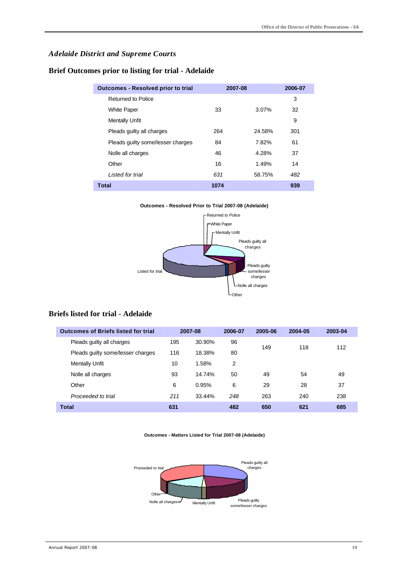# *Adelaide District and Supreme Courts*

**Brief Outcomes prior to listing for trial - Adelaide**

| <b>Outcomes - Resolved prior to trial</b> | 2007-08 |        | 2006-07 |
|-------------------------------------------|---------|--------|---------|
| Returned to Police                        |         |        | 3       |
| <b>White Paper</b>                        | 33      | 3.07%  | 32      |
| <b>Mentally Unfit</b>                     |         |        | 9       |
| Pleads guilty all charges                 | 264     | 24.58% | 301     |
| Pleads guilty some/lesser charges         | 84      | 7.82%  | 61      |
| Nolle all charges                         | 46      | 4.28%  | 37      |
| Other                                     | 16      | 1.49%  | 14      |
| I isted for trial                         | 631     | 58.75% | 482     |
| <b>Total</b>                              | 1074    |        | 939     |

#### **Outcomes - Resolved Prior to Trial 2007-08 (Adelaide)** Returned to Police White Paper Mentally Unfit Pleads guilty all charges Pleads guilty some/lesser charges Nolle all charges Other Listed for trial

### **Briefs listed for trial - Adelaide**

| <b>Outcomes of Briefs listed for trial</b> |     | 2007-08 | 2006-07 | 2005-06 | 2004-05 | 2003-04 |
|--------------------------------------------|-----|---------|---------|---------|---------|---------|
| Pleads guilty all charges                  | 195 | 30.90%  | 96      | 149     | 118     | 112     |
| Pleads guilty some/lesser charges          | 116 | 18.38%  | 80      |         |         |         |
| <b>Mentally Unfit</b>                      | 10  | 1.58%   | 2       |         |         |         |
| Nolle all charges                          | 93  | 14.74%  | 50      | 49      | 54      | 49      |
| Other                                      | 6   | 0.95%   | 6       | 29      | 28      | 37      |
| Proceeded to trial                         | 211 | 33.44%  | 248     | 263     | 240     | 238     |
| <b>Total</b>                               | 631 |         | 482     | 650     | 621     | 685     |

#### **Outcomes - Matters Listed for Trial 2007-08 (Adelaide)**

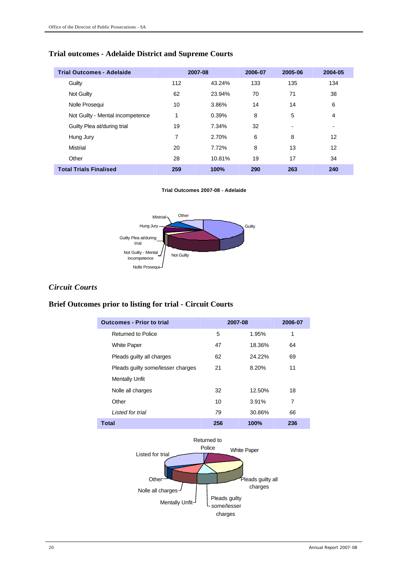# **Trial outcomes - Adelaide District and Supreme Courts**

| <b>Trial Outcomes - Adelaide</b> |     | 2007-08 | 2006-07 | 2005-06                  | 2004-05 |
|----------------------------------|-----|---------|---------|--------------------------|---------|
| Guilty                           | 112 | 43.24%  | 133     | 135                      | 134     |
| Not Guilty                       | 62  | 23.94%  | 70      | 71                       | 38      |
| Nolle Prosequi                   | 10  | 3.86%   | 14      | 14                       | 6       |
| Not Guilty - Mental incompetence | 1   | 0.39%   | 8       | 5                        | 4       |
| Guilty Plea at/during trial      | 19  | 7.34%   | 32      | $\overline{\phantom{0}}$ |         |
| Hung Jury                        | 7   | 2.70%   | 6       | 8                        | 12      |
| Mistrial                         | 20  | 7.72%   | 8       | 13                       | 12      |
| Other                            | 28  | 10.81%  | 19      | 17                       | 34      |
| <b>Total Trials Finalised</b>    | 259 | 100%    | 290     | 263                      | 240     |

#### **Trial Outcomes 2007-08 - Adelaide**



#### *Circuit Courts*

#### **Brief Outcomes prior to listing for trial - Circuit Courts**

| <b>Outcomes - Prior to trial</b>  |     | 2007-08 | 2006-07 |
|-----------------------------------|-----|---------|---------|
| Returned to Police                | 5   | 1.95%   | 1       |
| <b>White Paper</b>                | 47  | 18.36%  | 64      |
| Pleads guilty all charges         | 62  | 24.22%  | 69      |
| Pleads guilty some/lesser charges | 21  | 8.20%   | 11      |
| <b>Mentally Unfit</b>             |     |         |         |
| Nolle all charges                 | 32  | 12.50%  | 18      |
| Other                             | 10  | 3.91%   | 7       |
| Listed for trial                  | 79  | 30.86%  | 66      |
| <b>Total</b>                      | 256 | 100%    | 236     |

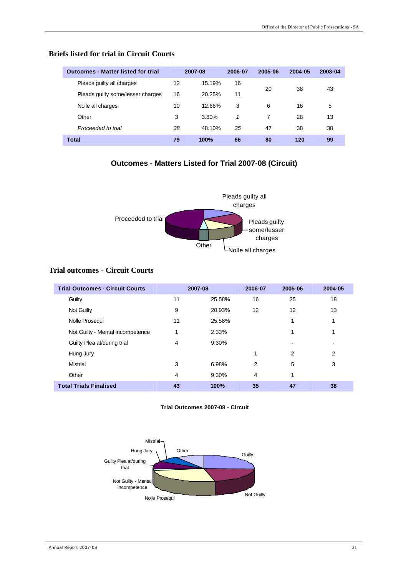| <b>Outcomes - Matter listed for trial</b> |    | 2007-08 | 2006-07 | 2005-06 | 2004-05 | 2003-04 |
|-------------------------------------------|----|---------|---------|---------|---------|---------|
| Pleads guilty all charges                 | 12 | 15.19%  | 16      | 20      | 38      | 43      |
| Pleads guilty some/lesser charges         | 16 | 20.25%  | 11      |         |         |         |
| Nolle all charges                         | 10 | 12.66%  | 3       | 6       | 16      | 5       |
| Other                                     | 3  | 3.80%   | 1       | 7       | 28      | 13      |
| Proceeded to trial                        | 38 | 48.10%  | 35      | 47      | 38      | 38      |
| <b>Total</b>                              | 79 | 100%    | 66      | 80      | 120     | 99      |

#### **Briefs listed for trial in Circuit Courts**

# **Outcomes - Matters Listed for Trial 2007-08 (Circuit)**



### **Trial outcomes - Circuit Courts**

| <b>Trial Outcomes - Circuit Courts</b> |    | 2007-08 | 2006-07 | 2005-06 | 2004-05 |
|----------------------------------------|----|---------|---------|---------|---------|
| Guilty                                 | 11 | 25.58%  | 16      | 25      | 18      |
| Not Guilty                             | 9  | 20.93%  | 12      | 12      | 13      |
| Nolle Prosequi                         | 11 | 25.58%  |         | 1       | 1       |
| Not Guilty - Mental incompetence       | 1  | 2.33%   |         | 1       |         |
| Guilty Plea at/during trial            | 4  | 9.30%   |         |         |         |
| Hung Jury                              |    |         | 1       | 2       | 2       |
| Mistrial                               | 3  | 6.98%   | 2       | 5       | 3       |
| Other                                  | 4  | 9.30%   | 4       | 1       |         |
| <b>Total Trials Finalised</b>          | 43 | 100%    | 35      | 47      | 38      |

#### **Trial Outcomes 2007-08 - Circuit**

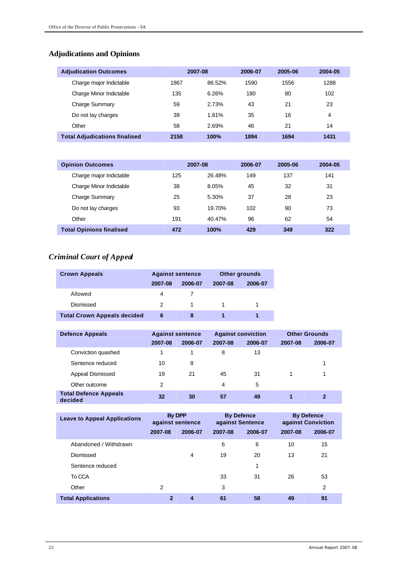# **Adjudications and Opinions**

| <b>Adjudication Outcomes</b>         |      | 2007-08 |      | 2005-06 | 2004-05 |
|--------------------------------------|------|---------|------|---------|---------|
| Charge major Indictable              | 1867 | 86.52%  | 1590 | 1556    | 1288    |
| Charge Minor Indictable              | 135  | 6.26%   | 180  | 80      | 102     |
| Charge Summary                       | 59   | 2.73%   | 43   | 21      | 23      |
| Do not lay charges                   | 39   | 1.81%   | 35   | 16      | 4       |
| Other                                | 58   | 2.69%   | 46   | 21      | 14      |
| <b>Total Adjudications finalised</b> | 2158 | 100%    | 1894 | 1694    | 1431    |

| <b>Opinion Outcomes</b>         |     | 2007-08 |     | 2005-06 | 2004-05 |
|---------------------------------|-----|---------|-----|---------|---------|
| Charge major Indictable         | 125 | 26.48%  | 149 | 137     | 141     |
| Charge Minor Indictable         | 38  | 8.05%   | 45  | 32      | 31      |
| <b>Charge Summary</b>           | 25  | 5.30%   | 37  | 28      | 23      |
| Do not lay charges              | 93  | 19.70%  | 102 | 90      | 73      |
| Other                           | 191 | 40.47%  | 96  | 62      | 54      |
| <b>Total Opinions finalised</b> | 472 | 100%    | 429 | 349     | 322     |

# *Criminal Court of Appeal*

| <b>Crown Appeals</b>               | <b>Against sentence</b> |         |         | Other grounds |
|------------------------------------|-------------------------|---------|---------|---------------|
|                                    | 2007-08                 | 2006-07 | 2007-08 | 2006-07       |
| Allowed                            | 4                       |         |         |               |
| Dismissed                          | 2                       |         |         |               |
| <b>Total Crown Appeals decided</b> | 6                       | 8       |         |               |

| <b>Defence Appeals</b>                  | <b>Against sentence</b> |         |         | <b>Against conviction</b> |         | <b>Other Grounds</b> |
|-----------------------------------------|-------------------------|---------|---------|---------------------------|---------|----------------------|
|                                         | 2007-08                 | 2006-07 | 2007-08 | 2006-07                   | 2007-08 | 2006-07              |
| Conviction quashed                      |                         |         | 8       | 13                        |         |                      |
| Sentence reduced                        | 10                      | 8       |         |                           |         | 1                    |
| Appeal Dismissed                        | 19                      | 21      | 45      | 31                        | 1       |                      |
| Other outcome                           | 2                       |         | 4       | 5                         |         |                      |
| <b>Total Defence Appeals</b><br>decided | 32                      | 30      | 57      | 49                        |         |                      |

| <b>Leave to Appeal Applications</b> | <b>By DPP</b><br>against sentence |         | <b>By Defence</b><br>against Sentence |         | <b>By Defence</b><br>against Conviction |         |
|-------------------------------------|-----------------------------------|---------|---------------------------------------|---------|-----------------------------------------|---------|
|                                     | 2007-08                           | 2006-07 | 2007-08                               | 2006-07 | 2007-08                                 | 2006-07 |
| Abandoned / Withdrawn               |                                   |         | 6                                     | 6       | 10                                      | 15      |
| Dismissed                           |                                   | 4       | 19                                    | 20      | 13                                      | 21      |
| Sentence reduced                    |                                   |         |                                       | 1       |                                         |         |
| To CCA                              |                                   |         | 33                                    | 31      | 26                                      | 53      |
| Other                               | 2                                 |         | 3                                     |         |                                         | 2       |
| <b>Total Applications</b>           | $\mathbf{2}$                      | 4       | 61                                    | 58      | 49                                      | 91      |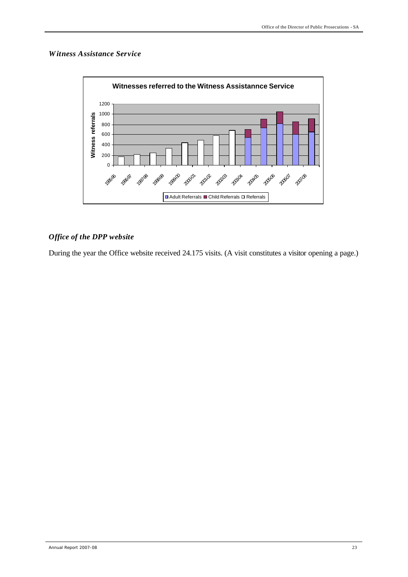#### *Witness Assistance Service*



### *Office of the DPP website*

During the year the Office website received 24.175 visits. (A visit constitutes a visitor opening a page.)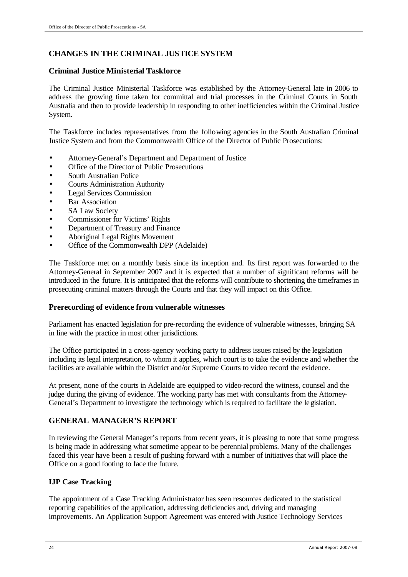# **CHANGES IN THE CRIMINAL JUSTICE SYSTEM**

### **Criminal Justice Ministerial Taskforce**

The Criminal Justice Ministerial Taskforce was established by the Attorney-General late in 2006 to address the growing time taken for committal and trial processes in the Criminal Courts in South Australia and then to provide leadership in responding to other inefficiencies within the Criminal Justice System.

The Taskforce includes representatives from the following agencies in the South Australian Criminal Justice System and from the Commonwealth Office of the Director of Public Prosecutions:

- Attorney-General's Department and Department of Justice
- Office of the Director of Public Prosecutions
- South Australian Police
- Courts Administration Authority
- Legal Services Commission
- Bar Association
- SA Law Society
- Commissioner for Victims' Rights
- Department of Treasury and Finance
- Aboriginal Legal Rights Movement
- Office of the Commonwealth DPP (Adelaide)

The Taskforce met on a monthly basis since its inception and. Its first report was forwarded to the Attorney-General in September 2007 and it is expected that a number of significant reforms will be introduced in the future. It is anticipated that the reforms will contribute to shortening the timeframes in prosecuting criminal matters through the Courts and that they will impact on this Office.

### **Prerecording of evidence from vulnerable witnesses**

Parliament has enacted legislation for pre-recording the evidence of vulnerable witnesses, bringing SA in line with the practice in most other jurisdictions.

The Office participated in a cross-agency working party to address issues raised by the legislation including its legal interpretation, to whom it applies, which court is to take the evidence and whether the facilities are available within the District and/or Supreme Courts to video record the evidence.

At present, none of the courts in Adelaide are equipped to video-record the witness, counsel and the judge during the giving of evidence. The working party has met with consultants from the Attorney-General's Department to investigate the technology which is required to facilitate the legislation.

### **GENERAL MANAGER'S REPORT**

In reviewing the General Manager's reports from recent years, it is pleasing to note that some progress is being made in addressing what sometime appear to be perennial problems. Many of the challenges faced this year have been a result of pushing forward with a number of initiatives that will place the Office on a good footing to face the future.

### **IJP Case Tracking**

The appointment of a Case Tracking Administrator has seen resources dedicated to the statistical reporting capabilities of the application, addressing deficiencies and, driving and managing improvements. An Application Support Agreement was entered with Justice Technology Services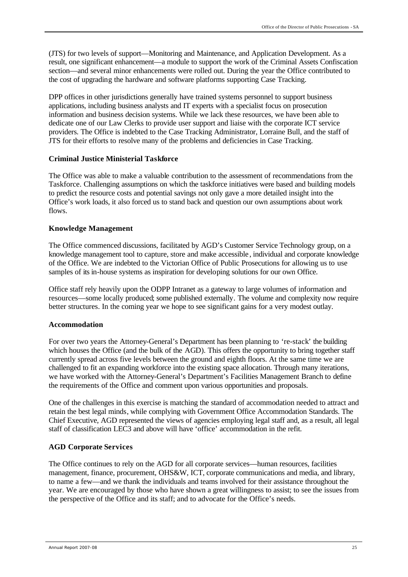(JTS) for two levels of support—Monitoring and Maintenance, and Application Development. As a result, one significant enhancement—a module to support the work of the Criminal Assets Confiscation section—and several minor enhancements were rolled out. During the year the Office contributed to the cost of upgrading the hardware and software platforms supporting Case Tracking.

DPP offices in other jurisdictions generally have trained systems personnel to support business applications, including business analysts and IT experts with a specialist focus on prosecution information and business decision systems. While we lack these resources, we have been able to dedicate one of our Law Clerks to provide user support and liaise with the corporate ICT service providers. The Office is indebted to the Case Tracking Administrator, Lorraine Bull, and the staff of JTS for their efforts to resolve many of the problems and deficiencies in Case Tracking.

#### **Criminal Justice Ministerial Taskforce**

The Office was able to make a valuable contribution to the assessment of recommendations from the Taskforce. Challenging assumptions on which the taskforce initiatives were based and building models to predict the resource costs and potential savings not only gave a more detailed insight into the Office's work loads, it also forced us to stand back and question our own assumptions about work flows.

#### **Knowledge Management**

The Office commenced discussions, facilitated by AGD's Customer Service Technology group, on a knowledge management tool to capture, store and make accessible , individual and corporate knowledge of the Office. We are indebted to the Victorian Office of Public Prosecutions for allowing us to use samples of its in-house systems as inspiration for developing solutions for our own Office.

Office staff rely heavily upon the ODPP Intranet as a gateway to large volumes of information and resources—some locally produced; some published externally. The volume and complexity now require better structures. In the coming year we hope to see significant gains for a very modest outlay.

#### **Accommodation**

For over two years the Attorney-General's Department has been planning to 're-stack' the building which houses the Office (and the bulk of the AGD). This offers the opportunity to bring together staff currently spread across five levels between the ground and eighth floors. At the same time we are challenged to fit an expanding workforce into the existing space allocation. Through many iterations, we have worked with the Attorney-General's Department's Facilities Management Branch to define the requirements of the Office and comment upon various opportunities and proposals.

One of the challenges in this exercise is matching the standard of accommodation needed to attract and retain the best legal minds, while complying with Government Office Accommodation Standards. The Chief Executive, AGD represented the views of agencies employing legal staff and, as a result, all legal staff of classification LEC3 and above will have 'office' accommodation in the refit.

### **AGD Corporate Services**

The Office continues to rely on the AGD for all corporate services—human resources, facilities management, finance, procurement, OHS&W, ICT, corporate communications and media, and library, to name a few—and we thank the individuals and teams involved for their assistance throughout the year. We are encouraged by those who have shown a great willingness to assist; to see the issues from the perspective of the Office and its staff; and to advocate for the Office's needs.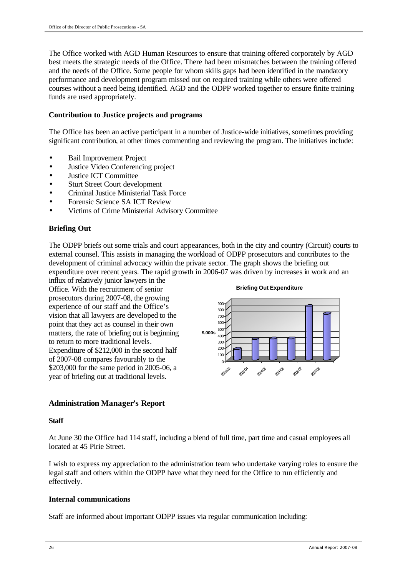The Office worked with AGD Human Resources to ensure that training offered corporately by AGD best meets the strategic needs of the Office. There had been mismatches between the training offered and the needs of the Office. Some people for whom skills gaps had been identified in the mandatory performance and development program missed out on required training while others were offered courses without a need being identified. AGD and the ODPP worked together to ensure finite training funds are used appropriately.

#### **Contribution to Justice projects and programs**

The Office has been an active participant in a number of Justice-wide initiatives, sometimes providing significant contribution, at other times commenting and reviewing the program. The initiatives include:

- Bail Improvement Project
- Justice Video Conferencing project
- Justice ICT Committee
- Sturt Street Court development
- Criminal Justice Ministerial Task Force
- Forensic Science SA ICT Review
- Victims of Crime Ministerial Advisory Committee

#### **Briefing Out**

The ODPP briefs out some trials and court appearances, both in the city and country (Circuit) courts to external counsel. This assists in managing the workload of ODPP prosecutors and contributes to the development of criminal advocacy within the private sector. The graph shows the briefing out expenditure over recent years. The rapid growth in 2006-07 was driven by increases in work and an

influx of relatively junior lawyers in the Office. With the recruitment of senior prosecutors during 2007-08, the growing experience of our staff and the Office's vision that all lawyers are developed to the point that they act as counsel in their own matters, the rate of briefing out is beginning to return to more traditional levels. Expenditure of \$212,000 in the second half of 2007-08 compares favourably to the \$203,000 for the same period in 2005-06, a year of briefing out at traditional levels.



### **Administration Manager's Report**

#### **Staff**

At June 30 the Office had 114 staff, including a blend of full time, part time and casual employees all located at 45 Pirie Street.

I wish to express my appreciation to the administration team who undertake varying roles to ensure the legal staff and others within the ODPP have what they need for the Office to run efficiently and effectively.

#### **Internal communications**

Staff are informed about important ODPP issues via regular communication including: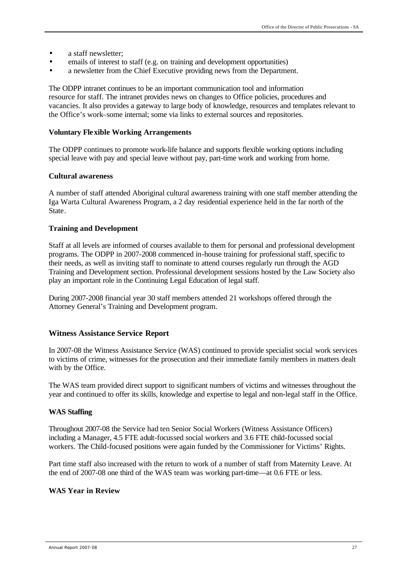- a staff newsletter;
- emails of interest to staff (e.g. on training and development opportunities)
- a newsletter from the Chief Executive providing news from the Department.

The ODPP intranet continues to be an important communication tool and information resource for staff. The intranet provides news on changes to Office policies, procedures and vacancies. It also provides a gateway to large body of knowledge, resources and templates relevant to the Office's work–some internal; some via links to external sources and repositories.

#### **Voluntary Flexible Working Arrangements**

The ODPP continues to promote work-life balance and supports flexible working options including special leave with pay and special leave without pay, part-time work and working from home.

#### **Cultural awareness**

A number of staff attended Aboriginal cultural awareness training with one staff member attending the Iga Warta Cultural Awareness Program, a 2 day residential experience held in the far north of the **State** 

#### **Training and Development**

Staff at all levels are informed of courses available to them for personal and professional development programs. The ODPP in 2007-2008 commenced in-house training for professional staff, specific to their needs, as well as inviting staff to nominate to attend courses regularly run through the AGD Training and Development section. Professional development sessions hosted by the Law Society also play an important role in the Continuing Legal Education of legal staff.

During 2007-2008 financial year 30 staff members attended 21 workshops offered through the Attorney General's Training and Development program.

#### **Witness Assistance Service Report**

In 2007-08 the Witness Assistance Service (WAS) continued to provide specialist social work services to victims of crime, witnesses for the prosecution and their immediate family members in matters dealt with by the Office.

The WAS team provided direct support to significant numbers of victims and witnesses throughout the year and continued to offer its skills, knowledge and expertise to legal and non-legal staff in the Office.

#### **WAS Staffing**

Throughout 2007-08 the Service had ten Senior Social Workers (Witness Assistance Officers) including a Manager, 4.5 FTE adult-focussed social workers and 3.6 FTE child-focussed social workers. The Child-focused positions were again funded by the Commissioner for Victims' Rights.

Part time staff also increased with the return to work of a number of staff from Maternity Leave. At the end of 2007-08 one third of the WAS team was working part-time—at 0.6 FTE or less.

#### **WAS Year in Review**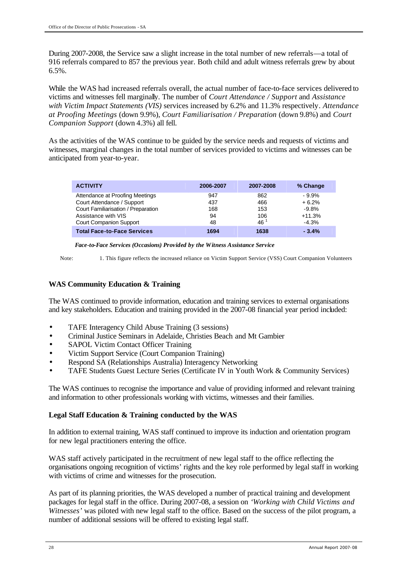During 2007-2008, the Service saw a slight increase in the total number of new referrals—a total of 916 referrals compared to 857 the previous year. Both child and adult witness referrals grew by about 6.5%.

While the WAS had increased referrals overall, the actual number of face-to-face services delivered to victims and witnesses fell marginally. The number of *Court Attendance / Support* and *Assistance with Victim Impact Statements (VIS)* services increased by 6.2% and 11.3% respectively. *Attendance at Proofing Meetings* (down 9.9%), *Court Familiarisation / Preparation* (down 9.8%) and *Court Companion Support* (down 4.3%) all fell.

As the activities of the WAS continue to be guided by the service needs and requests of victims and witnesses, marginal changes in the total number of services provided to victims and witnesses can be anticipated from year-to-year.

| <b>ACTIVITY</b>                     | 2006-2007 | 2007-2008       | % Change |
|-------------------------------------|-----------|-----------------|----------|
| Attendance at Proofing Meetings     | 947       | 862             | $-9.9%$  |
| Court Attendance / Support          | 437       | 466             | $+6.2%$  |
| Court Familiarisation / Preparation | 168       | 153             | $-9.8%$  |
| Assistance with VIS                 | 94        | 106             | $+11.3%$ |
| Court Companion Support             | 48        | 46 <sup>1</sup> | $-4.3%$  |
| <b>Total Face-to-Face Services</b>  | 1694      | 1638            | $-3.4%$  |

*Face-to-Face Services (Occasions) Provided by the Witness Assistance Service*

Note: 1. This figure reflects the increased reliance on Victim Support Service (VSS) Court Companion Volunteers

### **WAS Community Education & Training**

The WAS continued to provide information, education and training services to external organisations and key stakeholders. Education and training provided in the 2007-08 financial year period included:

- TAFE Interagency Child Abuse Training (3 sessions)
- Criminal Justice Seminars in Adelaide, Christies Beach and Mt Gambier
- SAPOL Victim Contact Officer Training
- Victim Support Service (Court Companion Training)
- Respond SA (Relationships Australia) Interagency Networking
- TAFE Students Guest Lecture Series (Certificate IV in Youth Work & Community Services)

The WAS continues to recognise the importance and value of providing informed and relevant training and information to other professionals working with victims, witnesses and their families.

#### **Legal Staff Education & Training conducted by the WAS**

In addition to external training, WAS staff continued to improve its induction and orientation program for new legal practitioners entering the office.

WAS staff actively participated in the recruitment of new legal staff to the office reflecting the organisations ongoing recognition of victims' rights and the key role performed by legal staff in working with victims of crime and witnesses for the prosecution.

As part of its planning priorities, the WAS developed a number of practical training and development packages for legal staff in the office. During 2007-08, a session on *'Working with Child Victims and Witnesses'* was piloted with new legal staff to the office. Based on the success of the pilot program, a number of additional sessions will be offered to existing legal staff.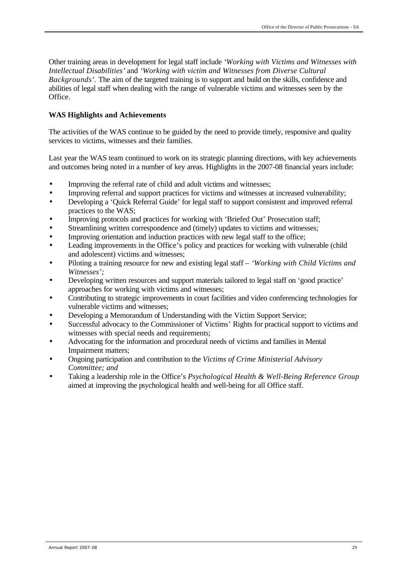Other training areas in development for legal staff include *'Working with Victims and Witnesses with Intellectual Disabilities'* and *'Working with victim and Witnesses from Diverse Cultural Backgrounds'.* The aim of the targeted training is to support and build on the skills, confidence and abilities of legal staff when dealing with the range of vulnerable victims and witnesses seen by the Office.

### **WAS Highlights and Achievements**

The activities of the WAS continue to be guided by the need to provide timely, responsive and quality services to victims, witnesses and their families.

Last year the WAS team continued to work on its strategic planning directions, with key achievements and outcomes being noted in a number of key areas. Highlights in the 2007-08 financial years include:

- Improving the referral rate of child and adult victims and witnesses;
- Improving referral and support practices for victims and witnesses at increased vulnerability;
- Developing a 'Quick Referral Guide' for legal staff to support consistent and improved referral practices to the WAS;
- Improving protocols and practices for working with 'Briefed Out' Prosecution staff;
- Streamlining written correspondence and (timely) updates to victims and witnesses;
- Improving orientation and induction practices with new legal staff to the office;
- Leading improvements in the Office's policy and practices for working with vulnerable (child and adolescent) victims and witnesses;
- Piloting a training resource for new and existing legal staff *'Working with Child Victims and Witnesses';*
- Developing written resources and support materials tailored to legal staff on 'good practice' approaches for working with victims and witnesses;
- Contributing to strategic improvements in court facilities and video conferencing technologies for vulnerable victims and witnesses;
- Developing a Memorandum of Understanding with the Victim Support Service;
- Successful advocacy to the Commissioner of Victims' Rights for practical support to victims and witnesses with special needs and requirements;
- Advocating for the information and procedural needs of victims and families in Mental Impairment matters;
- Ongoing participation and contribution to the *Victims of Crime Ministerial Advisory Committee; and*
- Taking a leadership role in the Office's *Psychological Health & Well-Being Reference Group* aimed at improving the psychological health and well-being for all Office staff.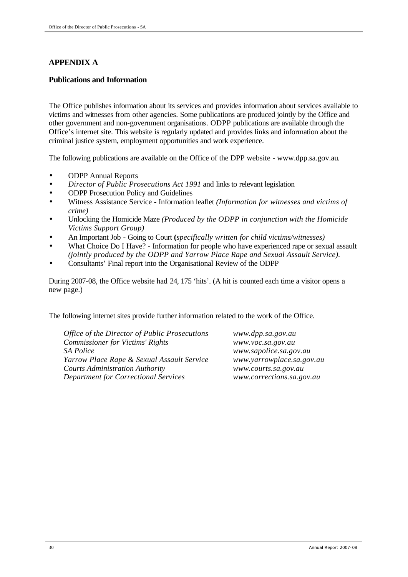# **APPENDIX A**

### **Publications and Information**

The Office publishes information about its services and provides information about services available to victims and witnesses from other agencies. Some publications are produced jointly by the Office and other government and non-government organisations. ODPP publications are available through the Office's internet site. This website is regularly updated and provides links and information about the criminal justice system, employment opportunities and work experience.

The following publications are available on the Office of the DPP website - www.dpp.sa.gov.au.

- ODPP Annual Reports
- *Director of Public Prosecutions Act 1991* and links to relevant legislation
- ODPP Prosecution Policy and Guidelines
- Witness Assistance Service Information leaflet *(Information for witnesses and victims of crime)*
- Unlocking the Homicide Maze *(Produced by the ODPP in conjunction with the Homicide Victims Support Group)*
- An Important Job Going to Court **(***specifically written for child victims/witnesses)*
- What Choice Do I Have? Information for people who have experienced rape or sexual assault *(jointly produced by the ODPP and Yarrow Place Rape and Sexual Assault Service).*
- Consultants' Final report into the Organisational Review of the ODPP

During 2007-08, the Office website had 24, 175 'hits'. (A hit is counted each time a visitor opens a new page.)

The following internet sites provide further information related to the work of the Office.

*Office of the Director of Public Prosecutions www.dpp.sa.gov.au Commissioner for Victims' Rights www.voc.sa.gov.au SA Police www.sapolice.sa.gov.au Yarrow Place Rape & Sexual Assault Service www.yarrowplace.sa.gov.au Courts Administration Authority www.courts.sa.gov.au Department for Correctional Services www.corrections.sa.gov.au*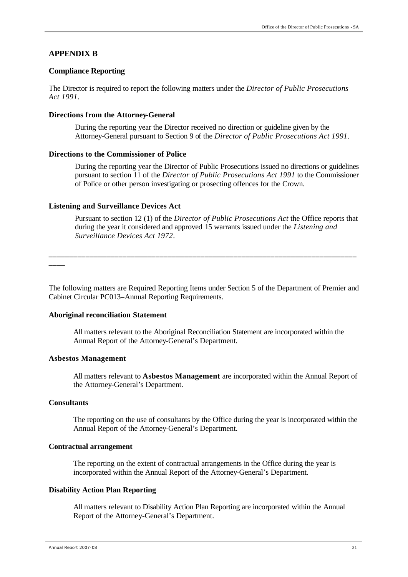#### **APPENDIX B**

#### **Compliance Reporting**

The Director is required to report the following matters under the *Director of Public Prosecutions Act 1991*.

#### **Directions from the Attorney-General**

During the reporting year the Director received no direction or guideline given by the Attorney-General pursuant to Section 9 of the *Director of Public Prosecutions Act 1991*.

#### **Directions to the Commissioner of Police**

During the reporting year the Director of Public Prosecutions issued no directions or guidelines pursuant to section 11 of the *Director of Public Prosecutions Act 1991* to the Commissioner of Police or other person investigating or prosecting offences for the Crown.

#### **Listening and Surveillance Devices Act**

Pursuant to section 12 (1) of the *Director of Public Prosecutions Act* the Office reports that during the year it considered and approved 15 warrants issued under the *Listening and Surveillance Devices Act 1972*.

**\_\_\_\_**

The following matters are Required Reporting Items under Section 5 of the Department of Premier and Cabinet Circular PC013–Annual Reporting Requirements.

**\_\_\_\_\_\_\_\_\_\_\_\_\_\_\_\_\_\_\_\_\_\_\_\_\_\_\_\_\_\_\_\_\_\_\_\_\_\_\_\_\_\_\_\_\_\_\_\_\_\_\_\_\_\_\_\_\_\_\_\_\_\_\_\_\_\_\_\_\_\_\_\_\_\_\_**

#### **Aboriginal reconciliation Statement**

All matters relevant to the Aboriginal Reconciliation Statement are incorporated within the Annual Report of the Attorney-General's Department.

#### **Asbestos Management**

All matters relevant to **Asbestos Management** are incorporated within the Annual Report of the Attorney-General's Department.

#### **Consultants**

The reporting on the use of consultants by the Office during the year is incorporated within the Annual Report of the Attorney-General's Department.

#### **Contractual arrangement**

The reporting on the extent of contractual arrangements in the Office during the year is incorporated within the Annual Report of the Attorney-General's Department.

#### **Disability Action Plan Reporting**

All matters relevant to Disability Action Plan Reporting are incorporated within the Annual Report of the Attorney-General's Department.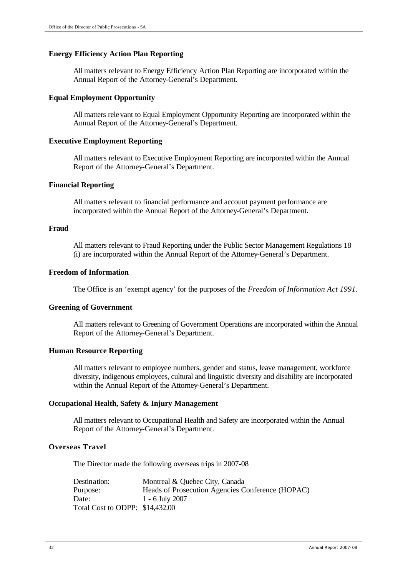#### **Energy Efficiency Action Plan Reporting**

All matters relevant to Energy Efficiency Action Plan Reporting are incorporated within the Annual Report of the Attorney-General's Department.

#### **Equal Employment Opportunity**

All matters relevant to Equal Employment Opportunity Reporting are incorporated within the Annual Report of the Attorney-General's Department.

#### **Executive Employment Reporting**

All matters relevant to Executive Employment Reporting are incorporated within the Annual Report of the Attorney-General's Department.

#### **Financial Reporting**

All matters relevant to financial performance and account payment performance are incorporated within the Annual Report of the Attorney-General's Department.

#### **Fraud**

All matters relevant to Fraud Reporting under the Public Sector Management Regulations 18 (i) are incorporated within the Annual Report of the Attorney-General's Department.

#### **Freedom of Information**

The Office is an 'exempt agency' for the purposes of the *Freedom of Information Act 1991.*

#### **Greening of Government**

All matters relevant to Greening of Government Operations are incorporated within the Annual Report of the Attorney-General's Department.

#### **Human Resource Reporting**

All matters relevant to employee numbers, gender and status, leave management, workforce diversity, indigenous employees, cultural and linguistic diversity and disability are incorporated within the Annual Report of the Attorney-General's Department.

#### **Occupational Health, Safety & Injury Management**

All matters relevant to Occupational Health and Safety are incorporated within the Annual Report of the Attorney-General's Department.

#### **Overseas Travel**

The Director made the following overseas trips in 2007-08

| Destination:                    | Montreal & Quebec City, Canada                   |
|---------------------------------|--------------------------------------------------|
| Purpose:                        | Heads of Prosecution Agencies Conference (HOPAC) |
| Date:                           | 1 - 6 July 2007                                  |
| Total Cost to ODPP: \$14,432.00 |                                                  |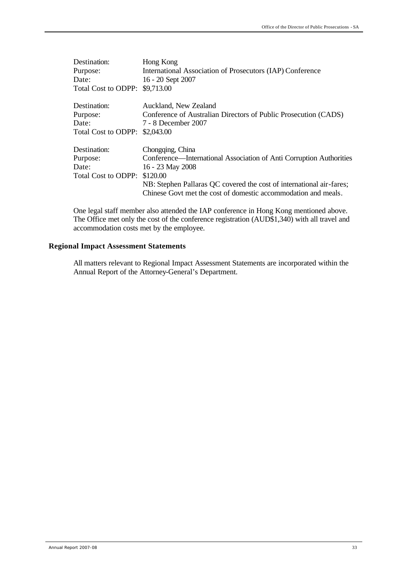| Destination:                   | Hong Kong                                                            |
|--------------------------------|----------------------------------------------------------------------|
| Purpose:                       | International Association of Prosecutors (IAP) Conference            |
| Date:                          | 16 - 20 Sept 2007                                                    |
| Total Cost to ODPP: \$9,713.00 |                                                                      |
| Destination:                   | Auckland, New Zealand                                                |
| Purpose:                       | Conference of Australian Directors of Public Prosecution (CADS)      |
| Date:                          | 7 - 8 December 2007                                                  |
| Total Cost to ODPP: \$2,043.00 |                                                                      |
| Destination:                   | Chongqing, China                                                     |
| Purpose:                       | Conference—International Association of Anti Corruption Authorities  |
| Date:                          | 16 - 23 May 2008                                                     |
| Total Cost to ODPP:            | \$120.00                                                             |
|                                | NB: Stephen Pallaras QC covered the cost of international air-fares; |
|                                | Chinese Govt met the cost of domestic accommodation and meals.       |

One legal staff member also attended the IAP conference in Hong Kong mentioned above. The Office met only the cost of the conference registration (AUD\$1,340) with all travel and accommodation costs met by the employee.

### **Regional Impact Assessment Statements**

All matters relevant to Regional Impact Assessment Statements are incorporated within the Annual Report of the Attorney-General's Department.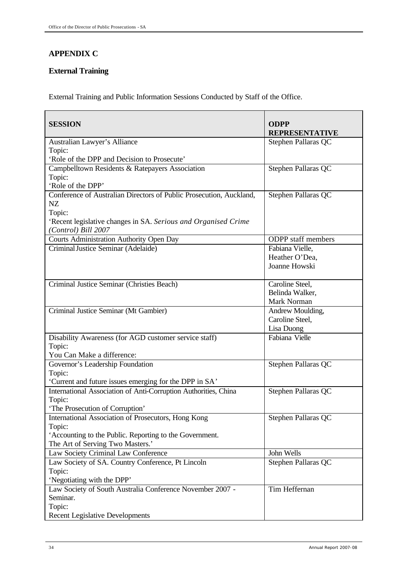# **APPENDIX C**

# **External Training**

External Training and Public Information Sessions Conducted by Staff of the Office.

| <b>SESSION</b>                                                      | <b>ODPP</b><br><b>REPRESENTATIVE</b> |
|---------------------------------------------------------------------|--------------------------------------|
| Australian Lawyer's Alliance                                        | Stephen Pallaras QC                  |
| Topic:                                                              |                                      |
| 'Role of the DPP and Decision to Prosecute'                         |                                      |
| Campbelltown Residents & Ratepayers Association                     | Stephen Pallaras QC                  |
| Topic:                                                              |                                      |
| 'Role of the DPP'                                                   |                                      |
| Conference of Australian Directors of Public Prosecution, Auckland, | Stephen Pallaras QC                  |
| NZ                                                                  |                                      |
| Topic:                                                              |                                      |
| 'Recent legislative changes in SA. Serious and Organised Crime      |                                      |
| (Control) Bill 2007<br>Courts Administration Authority Open Day     | <b>ODPP</b> staff members            |
| Criminal Justice Seminar (Adelaide)                                 | Fabiana Vielle,                      |
|                                                                     | Heather O'Dea,                       |
|                                                                     | Joanne Howski                        |
|                                                                     |                                      |
| Criminal Justice Seminar (Christies Beach)                          | Caroline Steel,                      |
|                                                                     | Belinda Walker,                      |
|                                                                     | Mark Norman                          |
| Criminal Justice Seminar (Mt Gambier)                               | Andrew Moulding,                     |
|                                                                     | Caroline Steel,                      |
|                                                                     | Lisa Duong                           |
| Disability Awareness (for AGD customer service staff)               | Fabiana Vielle                       |
| Topic:                                                              |                                      |
| You Can Make a difference:                                          |                                      |
| Governor's Leadership Foundation                                    | Stephen Pallaras QC                  |
| Topic:                                                              |                                      |
| 'Current and future issues emerging for the DPP in SA'              |                                      |
| International Association of Anti-Corruption Authorities, China     | Stephen Pallaras QC                  |
| Topic:                                                              |                                      |
| 'The Prosecution of Corruption'                                     |                                      |
| International Association of Prosecutors, Hong Kong                 | Stephen Pallaras QC                  |
| Topic:<br>'Accounting to the Public. Reporting to the Government.   |                                      |
| The Art of Serving Two Masters.'                                    |                                      |
| Law Society Criminal Law Conference                                 | John Wells                           |
| Law Society of SA. Country Conference, Pt Lincoln                   | Stephen Pallaras QC                  |
| Topic:                                                              |                                      |
| 'Negotiating with the DPP'                                          |                                      |
| Law Society of South Australia Conference November 2007 -           | Tim Heffernan                        |
| Seminar.                                                            |                                      |
| Topic:                                                              |                                      |
| <b>Recent Legislative Developments</b>                              |                                      |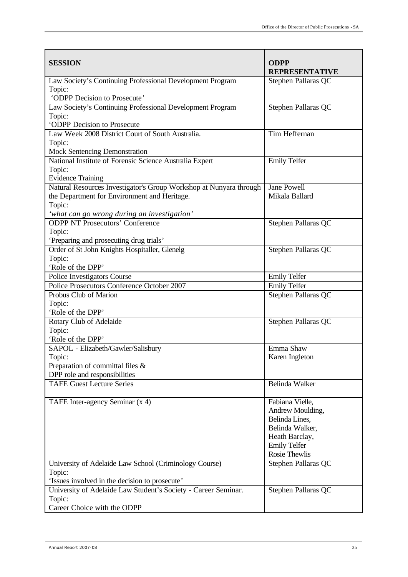| <b>SESSION</b>                                                                                                                                                              | <b>ODPP</b><br><b>REPRESENTATIVE</b>                                                                                               |
|-----------------------------------------------------------------------------------------------------------------------------------------------------------------------------|------------------------------------------------------------------------------------------------------------------------------------|
| Law Society's Continuing Professional Development Program<br>Topic:<br>'ODPP Decision to Prosecute'                                                                         | Stephen Pallaras QC                                                                                                                |
| Law Society's Continuing Professional Development Program<br>Topic:<br>'ODPP Decision to Prosecute                                                                          | Stephen Pallaras QC                                                                                                                |
| Law Week 2008 District Court of South Australia.<br>Topic:<br><b>Mock Sentencing Demonstration</b>                                                                          | Tim Heffernan                                                                                                                      |
| National Institute of Forensic Science Australia Expert<br>Topic:<br><b>Evidence Training</b>                                                                               | <b>Emily Telfer</b>                                                                                                                |
| Natural Resources Investigator's Group Workshop at Nunyara through<br>the Department for Environment and Heritage.<br>Topic:<br>'what can go wrong during an investigation' | Jane Powell<br>Mikala Ballard                                                                                                      |
| <b>ODPP NT Prosecutors' Conference</b><br>Topic:<br>'Preparing and prosecuting drug trials'                                                                                 | Stephen Pallaras QC                                                                                                                |
| Order of St John Knights Hospitaller, Glenelg<br>Topic:<br>'Role of the DPP'                                                                                                | Stephen Pallaras QC                                                                                                                |
| Police Investigators Course                                                                                                                                                 | <b>Emily Telfer</b>                                                                                                                |
| Police Prosecutors Conference October 2007                                                                                                                                  | <b>Emily Telfer</b>                                                                                                                |
| Probus Club of Marion<br>Topic:<br>'Role of the DPP'                                                                                                                        | Stephen Pallaras QC                                                                                                                |
| Rotary Club of Adelaide<br>Topic:<br>'Role of the DPP'                                                                                                                      | Stephen Pallaras QC                                                                                                                |
| SAPOL - Elizabeth/Gawler/Salisbury<br>Topic:                                                                                                                                | Emma Shaw<br>Karen Ingleton                                                                                                        |
| Preparation of committal files &<br>DPP role and responsibilities                                                                                                           |                                                                                                                                    |
| <b>TAFE Guest Lecture Series</b>                                                                                                                                            | Belinda Walker                                                                                                                     |
| TAFE Inter-agency Seminar (x 4)                                                                                                                                             | Fabiana Vielle,<br>Andrew Moulding,<br>Belinda Lines,<br>Belinda Walker,<br>Heath Barclay,<br><b>Emily Telfer</b><br>Rosie Thewlis |
| University of Adelaide Law School (Criminology Course)<br>Topic:<br>'Issues involved in the decision to prosecute'                                                          | Stephen Pallaras QC                                                                                                                |
| University of Adelaide Law Student's Society - Career Seminar.<br>Topic:<br>Career Choice with the ODPP                                                                     | Stephen Pallaras QC                                                                                                                |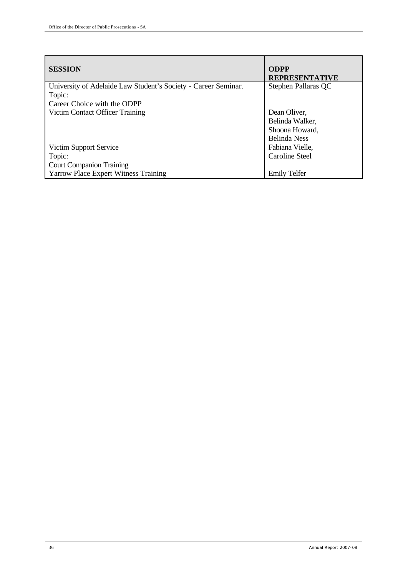| <b>SESSION</b>                                                 | <b>ODPP</b><br><b>REPRESENTATIVE</b> |
|----------------------------------------------------------------|--------------------------------------|
| University of Adelaide Law Student's Society - Career Seminar. | Stephen Pallaras QC                  |
| Topic:                                                         |                                      |
| Career Choice with the ODPP                                    |                                      |
| Victim Contact Officer Training                                | Dean Oliver,                         |
|                                                                | Belinda Walker,                      |
|                                                                | Shoona Howard,                       |
|                                                                | <b>Belinda</b> Ness                  |
| Victim Support Service                                         | Fabiana Vielle,                      |
| Topic:                                                         | Caroline Steel                       |
| <b>Court Companion Training</b>                                |                                      |
| <b>Yarrow Place Expert Witness Training</b>                    | <b>Emily Telfer</b>                  |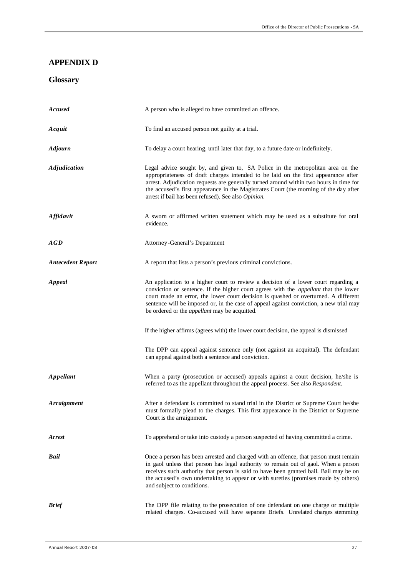# **APPENDIX D**

# **Glossary**

| <b>Accused</b>           | A person who is alleged to have committed an offence.                                                                                                                                                                                                                                                                                                                                                                      |
|--------------------------|----------------------------------------------------------------------------------------------------------------------------------------------------------------------------------------------------------------------------------------------------------------------------------------------------------------------------------------------------------------------------------------------------------------------------|
| Acquit                   | To find an accused person not guilty at a trial.                                                                                                                                                                                                                                                                                                                                                                           |
| <b>Adjourn</b>           | To delay a court hearing, until later that day, to a future date or indefinitely.                                                                                                                                                                                                                                                                                                                                          |
| <b>Adjudication</b>      | Legal advice sought by, and given to, SA Police in the metropolitan area on the<br>appropriateness of draft charges intended to be laid on the first appearance after<br>arrest. Adjudication requests are generally turned around within two hours in time for<br>the accused's first appearance in the Magistrates Court (the morning of the day after<br>arrest if bail has been refused). See also Opinion.            |
| <b>Affidavit</b>         | A sworn or affirmed written statement which may be used as a substitute for oral<br>evidence.                                                                                                                                                                                                                                                                                                                              |
| <b>AGD</b>               | Attorney-General's Department                                                                                                                                                                                                                                                                                                                                                                                              |
| <b>Antecedent Report</b> | A report that lists a person's previous criminal convictions.                                                                                                                                                                                                                                                                                                                                                              |
| Appeal                   | An application to a higher court to review a decision of a lower court regarding a<br>conviction or sentence. If the higher court agrees with the <i>appellant</i> that the lower<br>court made an error, the lower court decision is quashed or overturned. A different<br>sentence will be imposed or, in the case of appeal against conviction, a new trial may<br>be ordered or the <i>appellant</i> may be acquitted. |
|                          | If the higher affirms (agrees with) the lower court decision, the appeal is dismissed                                                                                                                                                                                                                                                                                                                                      |
|                          | The DPP can appeal against sentence only (not against an acquittal). The defendant<br>can appeal against both a sentence and conviction.                                                                                                                                                                                                                                                                                   |
| Appellant                | When a party (prosecution or accused) appeals against a court decision, he/she is<br>referred to as the appellant throughout the appeal process. See also Respondent.                                                                                                                                                                                                                                                      |
| <b>Arraignment</b>       | After a defendant is committed to stand trial in the District or Supreme Court he/she<br>must formally plead to the charges. This first appearance in the District or Supreme<br>Court is the arraignment.                                                                                                                                                                                                                 |
| <b>Arrest</b>            | To apprehend or take into custody a person suspected of having committed a crime.                                                                                                                                                                                                                                                                                                                                          |
| Bail                     | Once a person has been arrested and charged with an offence, that person must remain<br>in gaol unless that person has legal authority to remain out of gaol. When a person<br>receives such authority that person is said to have been granted bail. Bail may be on<br>the accused's own undertaking to appear or with sureties (promises made by others)<br>and subject to conditions.                                   |
| <b>Brief</b>             | The DPP file relating to the prosecution of one defendant on one charge or multiple<br>related charges. Co-accused will have separate Briefs. Unrelated charges stemming                                                                                                                                                                                                                                                   |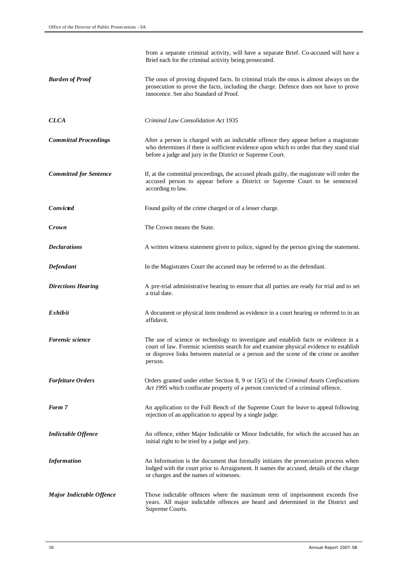|                               | from a separate criminal activity, will have a separate Brief. Co-accused will have a<br>Brief each for the criminal activity being prosecuted.                                                                                               |
|-------------------------------|-----------------------------------------------------------------------------------------------------------------------------------------------------------------------------------------------------------------------------------------------|
| <b>Burden of Proof</b>        | The onus of proving disputed facts. In criminal trials the onus is almost always on the<br>prosecution to prove the facts, including the charge. Defence does not have to prove<br>innocence. See also Standard of Proof.                     |
| <b>CLCA</b>                   | Criminal Law Consolidation Act 1935                                                                                                                                                                                                           |
| <b>Committal Proceedings</b>  | After a person is charged with an indictable offence they appear before a magistrate<br>who determines if there is sufficient evidence upon which to order that they stand trial<br>before a judge and jury in the District or Supreme Court. |
| <b>Committed for Sentence</b> | If, at the committal proceedings, the accused pleads guilty, the magistrate will order the<br>accused person to appear before a District or Supreme Court to be sentenced<br>according to law.                                                |
| Convicted                     | Found guilty of the crime charged or of a lesser charge.                                                                                                                                                                                      |
| Crown                         | The Crown means the State.                                                                                                                                                                                                                    |
| <b>Declarations</b>           | A written witness statement given to police, signed by the person giving the statement.                                                                                                                                                       |
| Defendant                     | In the Magistrates Court the accused may be referred to as the defendant.                                                                                                                                                                     |
| <b>Directions Hearing</b>     | A pre-trial administrative hearing to ensure that all parties are ready for trial and to set<br>a trial date.                                                                                                                                 |
| Exhibit                       | A document or physical item tendered as evidence in a court hearing or referred to in an<br>affidavit.                                                                                                                                        |
| Forensic science              | The use of science or technology to investigate and establish facts or evidence in a                                                                                                                                                          |
|                               | court of law. Forensic scientists search for and examine physical evidence to establish<br>or disprove links between material or a person and the scene of the crime or another<br>person.                                                    |
| <b>Forfeiture Orders</b>      | Orders granted under either Section 8, 9 or 15(5) of the Criminal Assets Confiscations<br>Act 1995 which confiscate property of a person convicted of a criminal offence.                                                                     |
| Form 7                        | An application to the Full Bench of the Supreme Court for leave to appeal following<br>rejection of an application to appeal by a single judge.                                                                                               |
| <b>Indictable Offence</b>     | An offence, either Major Indictable or Minor Indictable, for which the accused has an<br>initial right to be tried by a judge and jury.                                                                                                       |
| <b>Information</b>            | An Information is the document that formally initiates the prosecution process when<br>lodged with the court prior to Arraignment. It names the accused, details of the charge<br>or charges and the names of witnesses.                      |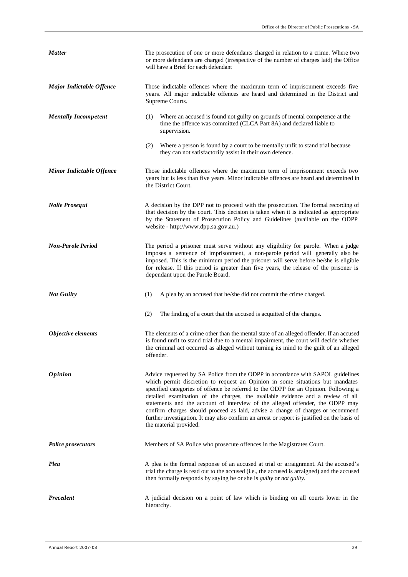| <b>Matter</b>                   | The prosecution of one or more defendants charged in relation to a crime. Where two<br>or more defendants are charged (irrespective of the number of charges laid) the Office<br>will have a Brief for each defendant                                                                                                                                                                                                                                                                                                                                                                                                                   |  |
|---------------------------------|-----------------------------------------------------------------------------------------------------------------------------------------------------------------------------------------------------------------------------------------------------------------------------------------------------------------------------------------------------------------------------------------------------------------------------------------------------------------------------------------------------------------------------------------------------------------------------------------------------------------------------------------|--|
| <b>Major Indictable Offence</b> | Those indictable offences where the maximum term of imprisonment exceeds five<br>years. All major indictable offences are heard and determined in the District and<br>Supreme Courts.                                                                                                                                                                                                                                                                                                                                                                                                                                                   |  |
| <b>Mentally Incompetent</b>     | Where an accused is found not guilty on grounds of mental competence at the<br>(1)<br>time the offence was committed (CLCA Part 8A) and declared liable to<br>supervision.                                                                                                                                                                                                                                                                                                                                                                                                                                                              |  |
|                                 | (2)<br>Where a person is found by a court to be mentally unfit to stand trial because<br>they can not satisfactorily assist in their own defence.                                                                                                                                                                                                                                                                                                                                                                                                                                                                                       |  |
| <b>Minor Indictable Offence</b> | Those indictable offences where the maximum term of imprisonment exceeds two<br>years but is less than five years. Minor indictable offences are heard and determined in<br>the District Court.                                                                                                                                                                                                                                                                                                                                                                                                                                         |  |
| Nolle Prosequi                  | A decision by the DPP not to proceed with the prosecution. The formal recording of<br>that decision by the court. This decision is taken when it is indicated as appropriate<br>by the Statement of Prosecution Policy and Guidelines (available on the ODPP<br>website - http://www.dpp.sa.gov.au.)                                                                                                                                                                                                                                                                                                                                    |  |
| <b>Non-Parole Period</b>        | The period a prisoner must serve without any eligibility for parole. When a judge<br>imposes a sentence of imprisonment, a non-parole period will generally also be<br>imposed. This is the minimum period the prisoner will serve before he/she is eligible<br>for release. If this period is greater than five years, the release of the prisoner is<br>dependant upon the Parole Board.                                                                                                                                                                                                                                              |  |
| <b>Not Guilty</b>               | (1)<br>A plea by an accused that he/she did not commit the crime charged.                                                                                                                                                                                                                                                                                                                                                                                                                                                                                                                                                               |  |
|                                 | (2)<br>The finding of a court that the accused is acquitted of the charges.                                                                                                                                                                                                                                                                                                                                                                                                                                                                                                                                                             |  |
| Objective elements              | The elements of a crime other than the mental state of an alleged offender. If an accused<br>is found unfit to stand trial due to a mental impairment, the court will decide whether<br>the criminal act occurred as alleged without turning its mind to the guilt of an alleged<br>offender.                                                                                                                                                                                                                                                                                                                                           |  |
| <i><b>Opinion</b></i>           | Advice requested by SA Police from the ODPP in accordance with SAPOL guidelines<br>which permit discretion to request an Opinion in some situations but mandates<br>specified categories of offence be referred to the ODPP for an Opinion. Following a<br>detailed examination of the charges, the available evidence and a review of all<br>statements and the account of interview of the alleged offender, the ODPP may<br>confirm charges should proceed as laid, advise a change of charges or recommend<br>further investigation. It may also confirm an arrest or report is justified on the basis of<br>the material provided. |  |
| <b>Police prosecutors</b>       | Members of SA Police who prosecute offences in the Magistrates Court.                                                                                                                                                                                                                                                                                                                                                                                                                                                                                                                                                                   |  |
| Plea                            | A plea is the formal response of an accused at trial or arraignment. At the accused's<br>trial the charge is read out to the accused (i.e., the accused is arraigned) and the accused<br>then formally responds by saying he or she is <i>guilty</i> or <i>not guilty</i> .                                                                                                                                                                                                                                                                                                                                                             |  |
| Precedent                       | A judicial decision on a point of law which is binding on all courts lower in the<br>hierarchy.                                                                                                                                                                                                                                                                                                                                                                                                                                                                                                                                         |  |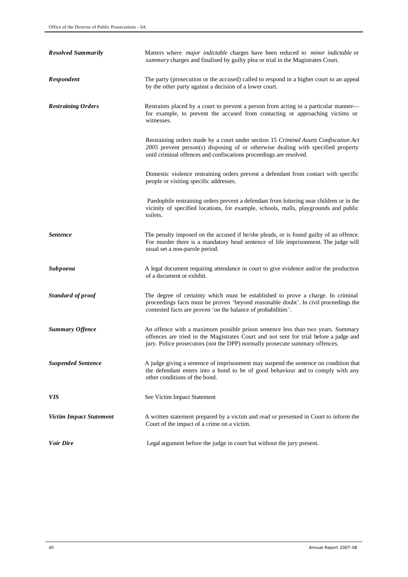| <b>Resolved Summarily</b>      | Matters where <i>major indictable</i> charges have been reduced to <i>minor indictable</i> or<br>summary charges and finalised by guilty plea or trial in the Magistrates Court.                                                                        |
|--------------------------------|---------------------------------------------------------------------------------------------------------------------------------------------------------------------------------------------------------------------------------------------------------|
| Respondent                     | The party (prosecution or the accused) called to respond in a higher court to an appeal<br>by the other party against a decision of a lower court.                                                                                                      |
| <b>Restraining Orders</b>      | Restraints placed by a court to prevent a person from acting in a particular manner—<br>for example, to prevent the accused from contacting or approaching victims or<br>witnesses.                                                                     |
|                                | Restraining orders made by a court under section 15 Criminal Assets Confiscation Act<br>2005 prevent person(s) disposing of or otherwise dealing with specified property<br>until criminal offences and confiscations proceedings are resolved.         |
|                                | Domestic violence restraining orders prevent a defendant from contact with specific<br>people or visiting specific addresses.                                                                                                                           |
|                                | Paedophile restraining orders prevent a defendant from loitering near children or in the<br>vicinity of specified locations, for example, schools, malls, playgrounds and public<br>toilets.                                                            |
| <b>Sentence</b>                | The penalty imposed on the accused if he/she pleads, or is found guilty of an offence.<br>For murder there is a mandatory head sentence of life imprisonment. The judge will<br>usual set a non-parole period.                                          |
| <b>Subpoena</b>                | A legal document requiring attendance in court to give evidence and/or the production<br>of a document or exhibit.                                                                                                                                      |
| Standard of proof              | The degree of certainty which must be established to prove a charge. In criminal<br>proceedings facts must be proven 'beyond reasonable doubt'. In civil proceedings the<br>contested facts are proven 'on the balance of probabilities'.               |
| <b>Summary Offence</b>         | An offence with a maximum possible prison sentence less than two years. Summary<br>offences are tried in the Magistrates Court and not sent for trial before a judge and<br>jury. Police prosecutors (not the DPP) normally prosecute summary offences. |
| <b>Suspended Sentence</b>      | A judge giving a sentence of imprisonment may suspend the sentence on condition that<br>the defendant enters into a bond to be of good behaviour and to comply with any<br>other conditions of the bond.                                                |
| <i>VIS</i>                     | See Victim Impact Statement                                                                                                                                                                                                                             |
| <b>Victim Impact Statement</b> | A written statement prepared by a victim and read or presented in Court to inform the<br>Court of the impact of a crime on a victim.                                                                                                                    |
| Voir Dire                      | Legal argument before the judge in court but without the jury present.                                                                                                                                                                                  |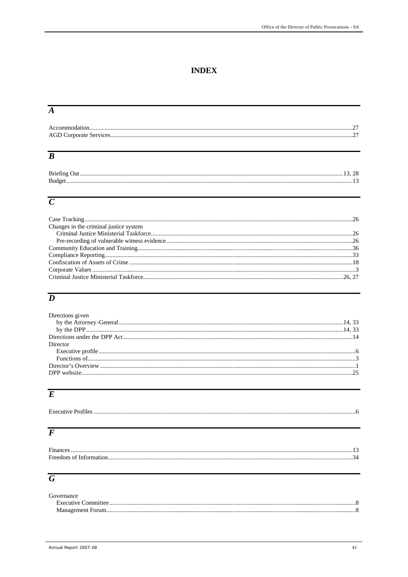# **INDEX**

# $\overline{A}$

| Accommodation. |  |
|----------------|--|
|                |  |

# $\overline{B}$

| Briefing Out. |  |
|---------------|--|
| Budget        |  |
|               |  |

# $\overline{C}$

| Changes in the criminal justice system |
|----------------------------------------|
|                                        |
|                                        |
|                                        |
|                                        |
|                                        |
|                                        |
|                                        |

# $\overline{D}$

| Directions given |  |
|------------------|--|
|                  |  |
|                  |  |
|                  |  |
| Director         |  |
|                  |  |
|                  |  |
|                  |  |
|                  |  |
|                  |  |

# $\overline{E}$

| <b>Executive Profiles</b> |  |
|---------------------------|--|

# $\overline{F}$

| Finances |  |
|----------|--|
|          |  |
|          |  |

# $\overline{G}$

| Governance |  |
|------------|--|
|            |  |
|            |  |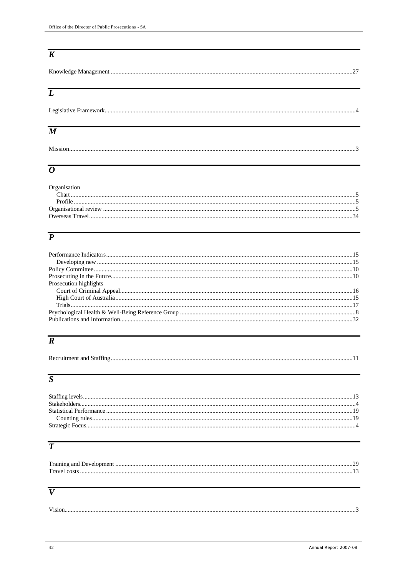# $\overline{K}$

# $\overline{L}$

# $\overline{M}$

# $\overline{o}$

| Organisation |  |
|--------------|--|
|              |  |
|              |  |
|              |  |
|              |  |
|              |  |

# $\overline{P}$

| Prosecution highlights |  |
|------------------------|--|
|                        |  |
|                        |  |
|                        |  |
|                        |  |
|                        |  |

# $\overline{R}$

# $\overline{S}$

# $\overline{T}$

| Training and Development. |  |
|---------------------------|--|
| Travel costs              |  |
|                           |  |

# $\overline{V}$